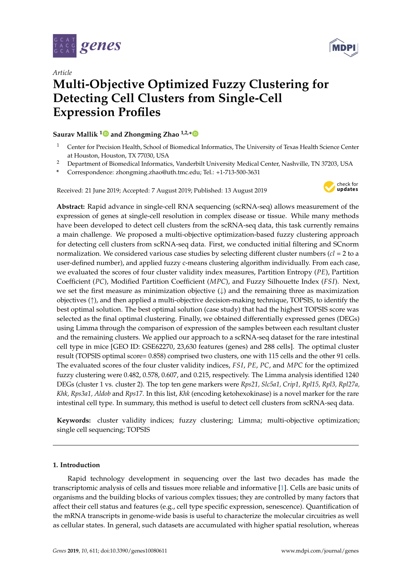



# *Article* **Multi-Objective Optimized Fuzzy Clustering for Detecting Cell Clusters from Single-Cell Expression Profiles**

# **Saurav Mallik [1](https://orcid.org/0000-0003-4107-6784) and Zhongming Zhao 1,2,[\\*](https://orcid.org/0000-0002-3477-0914)**

- <sup>1</sup> Center for Precision Health, School of Biomedical Informatics, The University of Texas Health Science Center at Houston, Houston, TX 77030, USA
- <sup>2</sup> Department of Biomedical Informatics, Vanderbilt University Medical Center, Nashville, TN 37203, USA
- **\*** Correspondence: zhongming.zhao@uth.tmc.edu; Tel.: +1-713-500-3631

Received: 21 June 2019; Accepted: 7 August 2019; Published: 13 August 2019



**Abstract:** Rapid advance in single-cell RNA sequencing (scRNA-seq) allows measurement of the expression of genes at single-cell resolution in complex disease or tissue. While many methods have been developed to detect cell clusters from the scRNA-seq data, this task currently remains a main challenge. We proposed a multi-objective optimization-based fuzzy clustering approach for detecting cell clusters from scRNA-seq data. First, we conducted initial filtering and SCnorm normalization. We considered various case studies by selecting different cluster numbers (*cl* = 2 to a user-defined number), and applied fuzzy c-means clustering algorithm individually. From each case, we evaluated the scores of four cluster validity index measures, Partition Entropy (*PE*), Partition Coefficient (*PC*), Modified Partition Coefficient (*MPC*), and Fuzzy Silhouette Index (*FSI*). Next, we set the first measure as minimization objective  $(\downarrow)$  and the remaining three as maximization objectives (↑), and then applied a multi-objective decision-making technique, TOPSIS, to identify the best optimal solution. The best optimal solution (case study) that had the highest TOPSIS score was selected as the final optimal clustering. Finally, we obtained differentially expressed genes (DEGs) using Limma through the comparison of expression of the samples between each resultant cluster and the remaining clusters. We applied our approach to a scRNA-seq dataset for the rare intestinal cell type in mice [GEO ID: GSE62270, 23,630 features (genes) and 288 cells]. The optimal cluster result (TOPSIS optimal score= 0.858) comprised two clusters, one with 115 cells and the other 91 cells. The evaluated scores of the four cluster validity indices, *FSI*, *PE*, *PC*, and *MPC* for the optimized fuzzy clustering were 0.482, 0.578, 0.607, and 0.215, respectively. The Limma analysis identified 1240 DEGs (cluster 1 vs. cluster 2). The top ten gene markers were *Rps21, Slc5a1, Crip1, Rpl15, Rpl3, Rpl27a, Khk, Rps3a1, Aldob* and *Rps17*. In this list, *Khk* (encoding ketohexokinase) is a novel marker for the rare intestinal cell type. In summary, this method is useful to detect cell clusters from scRNA-seq data.

**Keywords:** cluster validity indices; fuzzy clustering; Limma; multi-objective optimization; single cell sequencing; TOPSIS

# **1. Introduction**

Rapid technology development in sequencing over the last two decades has made the transcriptomic analysis of cells and tissues more reliable and informative [\[1\]](#page-18-0). Cells are basic units of organisms and the building blocks of various complex tissues; they are controlled by many factors that affect their cell status and features (e.g., cell type specific expression, senescence). Quantification of the mRNA transcripts in genome-wide basis is useful to characterize the molecular circuitries as well as cellular states. In general, such datasets are accumulated with higher spatial resolution, whereas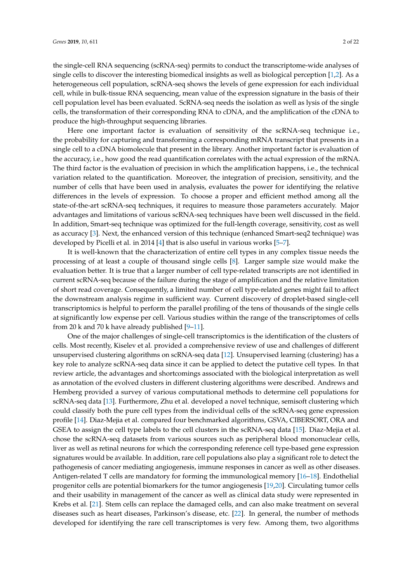the single-cell RNA sequencing (scRNA-seq) permits to conduct the transcriptome-wide analyses of single cells to discover the interesting biomedical insights as well as biological perception [\[1,](#page-18-0)[2\]](#page-18-1). As a heterogeneous cell population, scRNA-seq shows the levels of gene expression for each individual cell, while in bulk-tissue RNA sequencing, mean value of the expression signature in the basis of their cell population level has been evaluated. ScRNA-seq needs the isolation as well as lysis of the single cells, the transformation of their corresponding RNA to cDNA, and the amplification of the cDNA to produce the high-throughput sequencing libraries.

Here one important factor is evaluation of sensitivity of the scRNA-seq technique i.e., the probability for capturing and transforming a corresponding mRNA transcript that presents in a single cell to a cDNA biomolecule that present in the library. Another important factor is evaluation of the accuracy, i.e., how good the read quantification correlates with the actual expression of the mRNA. The third factor is the evaluation of precision in which the amplification happens, i.e., the technical variation related to the quantification. Moreover, the integration of precision, sensitivity, and the number of cells that have been used in analysis, evaluates the power for identifying the relative differences in the levels of expression. To choose a proper and efficient method among all the state-of-the-art scRNA-seq techniques, it requires to measure those parameters accurately. Major advantages and limitations of various scRNA-seq techniques have been well discussed in the field. In addition, Smart-seq technique was optimized for the full-length coverage, sensitivity, cost as well as accuracy [\[3\]](#page-18-2). Next, the enhanced version of this technique (enhanced Smart-seq2 technique) was developed by Picelli et al. in 2014 [\[4\]](#page-18-3) that is also useful in various works [\[5](#page-18-4)[–7\]](#page-18-5).

It is well-known that the characterization of entire cell types in any complex tissue needs the processing of at least a couple of thousand single cells [\[8\]](#page-19-0). Larger sample size would make the evaluation better. It is true that a larger number of cell type-related transcripts are not identified in current scRNA-seq because of the failure during the stage of amplification and the relative limitation of short read coverage. Consequently, a limited number of cell type-related genes might fail to affect the downstream analysis regime in sufficient way. Current discovery of droplet-based single-cell transcriptomics is helpful to perform the parallel profiling of the tens of thousands of the single cells at significantly low expense per cell. Various studies within the range of the transcriptomes of cells from 20 k and 70 k have already published  $[9-11]$  $[9-11]$ .

One of the major challenges of single-cell transcriptomics is the identification of the clusters of cells. Most recently, Kiselev et al. provided a comprehensive review of use and challenges of different unsupervised clustering algorithms on scRNA-seq data [\[12\]](#page-19-3). Unsupervised learning (clustering) has a key role to analyze scRNA-seq data since it can be applied to detect the putative cell types. In that review article, the advantages and shortcomings associated with the biological interpretation as well as annotation of the evolved clusters in different clustering algorithms were described. Andrews and Hemberg provided a survey of various computational methods to determine cell populations for scRNA-seq data [\[13\]](#page-19-4). Furthermore, Zhu et al. developed a novel technique, semisoft clustering which could classify both the pure cell types from the individual cells of the scRNA-seq gene expression profile [\[14\]](#page-19-5). Diaz-Mejia et al. compared four benchmarked algorithms, GSVA, CIBERSORT, ORA and GSEA to assign the cell type labels to the cell clusters in the scRNA-seq data [\[15\]](#page-19-6). Diaz-Mejia et al. chose the scRNA-seq datasets from various sources such as peripheral blood mononuclear cells, liver as well as retinal neurons for which the corresponding reference cell type-based gene expression signatures would be available. In addition, rare cell populations also play a significant role to detect the pathogenesis of cancer mediating angiogenesis, immune responses in cancer as well as other diseases. Antigen-related T cells are mandatory for forming the immunological memory [\[16](#page-19-7)[–18\]](#page-19-8). Endothelial progenitor cells are potential biomarkers for the tumor angiogenesis [\[19,](#page-19-9)[20\]](#page-19-10). Circulating tumor cells and their usability in management of the cancer as well as clinical data study were represented in Krebs et al. [\[21\]](#page-19-11). Stem cells can replace the damaged cells, and can also make treatment on several diseases such as heart diseases, Parkinson's disease, etc. [\[22\]](#page-19-12). In general, the number of methods developed for identifying the rare cell transcriptomes is very few. Among them, two algorithms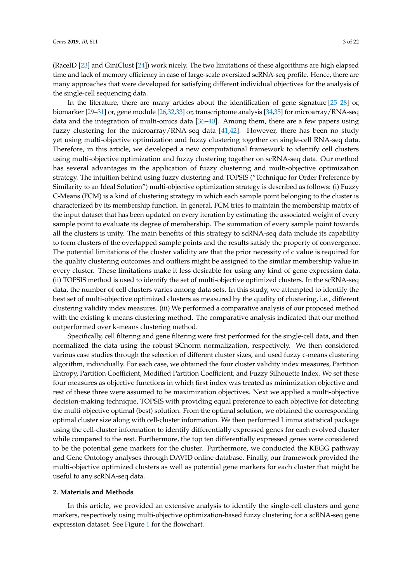(RaceID [\[23\]](#page-19-13) and GiniClust [\[24\]](#page-19-14)) work nicely. The two limitations of these algorithms are high elapsed time and lack of memory efficiency in case of large-scale oversized scRNA-seq profile. Hence, there are many approaches that were developed for satisfying different individual objectives for the analysis of the single-cell sequencing data.

In the literature, there are many articles about the identification of gene signature [\[25–](#page-19-15)[28\]](#page-19-16) or, biomarker [\[29](#page-20-0)[–31\]](#page-20-1) or, gene module [\[26](#page-19-17)[,32](#page-20-2)[,33\]](#page-20-3) or, transcriptome analysis [\[34](#page-20-4)[,35\]](#page-20-5) for microarray/RNA-seq data and the integration of multi-omics data [\[36–](#page-20-6)[40\]](#page-20-7). Among them, there are a few papers using fuzzy clustering for the microarray/RNA-seq data [\[41](#page-20-8)[,42\]](#page-20-9). However, there has been no study yet using multi-objective optimization and fuzzy clustering together on single-cell RNA-seq data. Therefore, in this article, we developed a new computational framework to identify cell clusters using multi-objective optimization and fuzzy clustering together on scRNA-seq data. Our method has several advantages in the application of fuzzy clustering and multi-objective optimization strategy. The intuition behind using fuzzy clustering and TOPSIS ("Technique for Order Preference by Similarity to an Ideal Solution") multi-objective optimization strategy is described as follows: (i) Fuzzy C-Means (FCM) is a kind of clustering strategy in which each sample point belonging to the cluster is characterized by its membership function. In general, FCM tries to maintain the membership matrix of the input dataset that has been updated on every iteration by estimating the associated weight of every sample point to evaluate its degree of membership. The summation of every sample point towards all the clusters is unity. The main benefits of this strategy to scRNA-seq data include its capability to form clusters of the overlapped sample points and the results satisfy the property of convergence. The potential limitations of the cluster validity are that the prior necessity of c value is required for the quality clustering outcomes and outliers might be assigned to the similar membership value in every cluster. These limitations make it less desirable for using any kind of gene expression data. (ii) TOPSIS method is used to identify the set of multi-objective optimized clusters. In the scRNA-seq data, the number of cell clusters varies among data sets. In this study, we attempted to identify the best set of multi-objective optimized clusters as measured by the quality of clustering, i.e., different clustering validity index measures. (iii) We performed a comparative analysis of our proposed method with the existing k-means clustering method. The comparative analysis indicated that our method outperformed over k-means clustering method.

Specifically, cell filtering and gene filtering were first performed for the single-cell data, and then normalized the data using the robust SCnorm normalization, respectively. We then considered various case studies through the selection of different cluster sizes, and used fuzzy c-means clustering algorithm, individually. For each case, we obtained the four cluster validity index measures, Partition Entropy, Partition Coefficient, Modified Partition Coefficient, and Fuzzy Silhouette Index. We set these four measures as objective functions in which first index was treated as minimization objective and rest of these three were assumed to be maximization objectives. Next we applied a multi-objective decision-making technique, TOPSIS with providing equal preference to each objective for detecting the multi-objective optimal (best) solution. From the optimal solution, we obtained the corresponding optimal cluster size along with cell-cluster information. We then performed Limma statistical package using the cell-cluster information to identify differentially expressed genes for each evolved cluster while compared to the rest. Furthermore, the top ten differentially expressed genes were considered to be the potential gene markers for the cluster. Furthermore, we conducted the KEGG pathway and Gene Ontology analyses through DAVID online database. Finally, our framework provided the multi-objective optimized clusters as well as potential gene markers for each cluster that might be useful to any scRNA-seq data.

#### **2. Materials and Methods**

In this article, we provided an extensive analysis to identify the single-cell clusters and gene markers, respectively using multi-objective optimization-based fuzzy clustering for a scRNA-seq gene expression dataset. See Figure [1](#page-3-0) for the flowchart.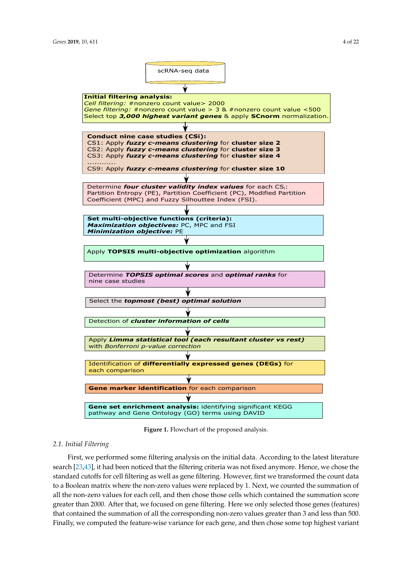<span id="page-3-0"></span>

**Figure 1.** Flowchart of the proposed analysis.

# *2.1. Initial Filtering*

First, we performed some filtering analysis on the initial data. According to the latest literature search [\[23](#page-19-13)[,43\]](#page-20-10), it had been noticed that the filtering criteria was not fixed anymore. Hence, we chose the standard cutoffs for cell filtering as well as gene filtering. However, first we transformed the count data to a Boolean matrix where the non-zero values were replaced by 1. Next, we counted the summation of all the non-zero values for each cell, and then chose those cells which contained the summation score greater than 2000. After that, we focused on gene filtering. Here we only selected those genes (features) that contained the summation of all the corresponding non-zero values greater than 3 and less than 500. Finally, we computed the feature-wise variance for each gene, and then chose some top highest variant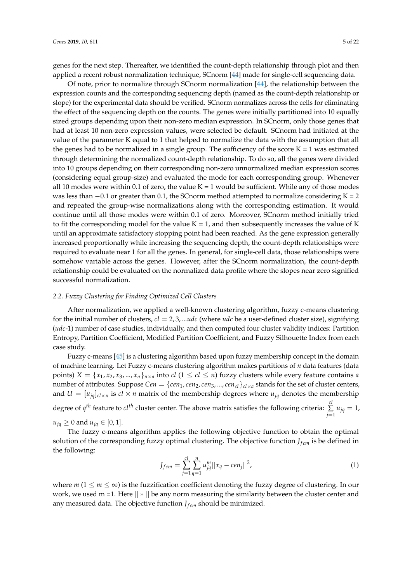genes for the next step. Thereafter, we identified the count-depth relationship through plot and then applied a recent robust normalization technique, SCnorm [\[44\]](#page-20-11) made for single-cell sequencing data.

Of note, prior to normalize through SCnorm normalization [\[44\]](#page-20-11), the relationship between the expression counts and the corresponding sequencing depth (named as the count-depth relationship or slope) for the experimental data should be verified. SCnorm normalizes across the cells for eliminating the effect of the sequencing depth on the counts. The genes were initially partitioned into 10 equally sized groups depending upon their non-zero median expression. In SCnorm, only those genes that had at least 10 non-zero expression values, were selected be default. SCnorm had initiated at the value of the parameter K equal to 1 that helped to normalize the data with the assumption that all the genes had to be normalized in a single group. The sufficiency of the score  $K = 1$  was estimated through determining the normalized count-depth relationship. To do so, all the genes were divided into 10 groups depending on their corresponding non-zero unnormalized median expression scores (considering equal group-size) and evaluated the mode for each corresponding group. Whenever all 10 modes were within 0.1 of zero, the value  $K = 1$  would be sufficient. While any of those modes was less than −0.1 or greater than 0.1, the SCnorm method attempted to normalize considering K = 2 and repeated the group-wise normalizations along with the corresponding estimation. It would continue until all those modes were within 0.1 of zero. Moreover, SCnorm method initially tried to fit the corresponding model for the value  $K = 1$ , and then subsequently increases the value of K until an approximate satisfactory stopping point had been reached. As the gene expression generally increased proportionally while increasing the sequencing depth, the count-depth relationships were required to evaluate near 1 for all the genes. In general, for single-cell data, those relationships were somehow variable across the genes. However, after the SCnorm normalization, the count-depth relationship could be evaluated on the normalized data profile where the slopes near zero signified successful normalization.

#### *2.2. Fuzzy Clustering for Finding Optimized Cell Clusters*

After normalization, we applied a well-known clustering algorithm, fuzzy c-means clustering for the initial number of clusters, *cl* = 2, 3, ...*udc* (where *udc* be a user-defined cluster size), signifying (*udc*-1) number of case studies, individually, and then computed four cluster validity indices: Partition Entropy, Partition Coefficient, Modified Partition Coefficient, and Fuzzy Silhouette Index from each case study.

Fuzzy c-means [\[45\]](#page-20-12) is a clustering algorithm based upon fuzzy membership concept in the domain of machine learning. Let Fuzzy c-means clustering algorithm makes partitions of *n* data features (data points)  $X = \{x_1, x_2, x_3, ..., x_n\}_{n \times a}$  into  $cl$  ( $1 \leq cl \leq n$ ) fuzzy clusters while every feature contains *a* number of attributes. Suppose  $Cen = \{cen_1, cen_2,cen_3, ..., cen_{cl}\}_{cl \times a}$  stands for the set of cluster centers, and  $U = [u_{jq}]_{cl \times n}$  is  $cl \times n$  matrix of the membership degrees where  $u_{jq}$  denotes the membership degree of *q th* feature to *clth* cluster center. The above matrix satisfies the following criteria: *cl* ∑  $\sum_{j=1} u_{jq} = 1$ ,  $u_{jq} \geq 0$  and  $u_{jq} \in [0,1]$ .

The fuzzy c-means algorithm applies the following objective function to obtain the optimal solution of the corresponding fuzzy optimal clustering. The objective function *J*<sub>fcm</sub> is be defined in the following:

$$
J_{fcm} = \sum_{j=1}^{cl} \sum_{q=1}^{n} u_{jq}^{m} ||x_q - cen_j||^2,
$$
\n(1)

where  $m$  ( $1 \le m \le \infty$ ) is the fuzzification coefficient denoting the fuzzy degree of clustering. In our work, we used m =1. Here  $|| * ||$  be any norm measuring the similarity between the cluster center and any measured data. The objective function *J*<sub>f cm</sub> should be minimized.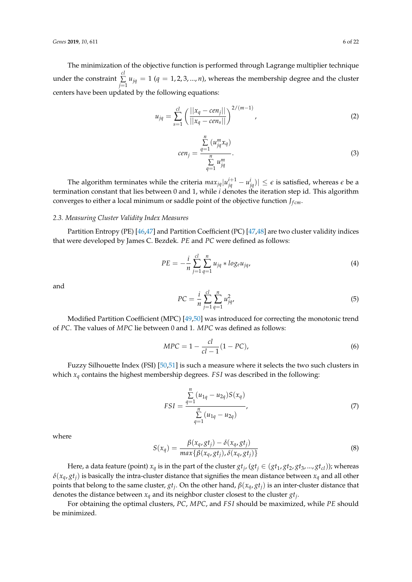The minimization of the objective function is performed through Lagrange multiplier technique under the constraint *cl* ∑  $\sum_{j=1} u_{jq} = 1$  (*q* = 1, 2, 3, ..., *n*), whereas the membership degree and the cluster centers have been updated by the following equations:

$$
u_{jq} = \sum_{s=1}^{cl} \left( \frac{||x_q - cen_j||}{||x_q - cen_s||} \right)^{2/(m-1)},
$$
\n(2)

$$
cen_j = \frac{\sum\limits_{q=1}^{n} (u_{jq}^m x_q)}{\sum\limits_{q=1}^{n} u_{jq}^m}.
$$
\n(3)

The algorithm terminates while the criteria  $max_{jq}|u^{i+1}_{jq} - u^i_{jq})| \leq \epsilon$  is satisfied, whereas  $\epsilon$  be a termination constant that lies between 0 and 1, while *i* denotes the iteration step id. This algorithm converges to either a local minimum or saddle point of the objective function *J*<sub>fcm</sub>.

# *2.3. Measuring Cluster Validity Index Measures*

Partition Entropy (PE) [\[46](#page-20-13)[,47\]](#page-20-14) and Partition Coefficient (PC) [\[47,](#page-20-14)[48\]](#page-20-15) are two cluster validity indices that were developed by James C. Bezdek. *PE* and *PC* were defined as follows:

$$
PE = -\frac{i}{n} \sum_{j=1}^{cl} \sum_{q=1}^{n} u_{jq} * log_e u_{jq}, \qquad (4)
$$

and

$$
PC = \frac{i}{n} \sum_{j=1}^{cl} \sum_{q=1}^{n} u_{jq}^2,
$$
 (5)

Modified Partition Coefficient (MPC) [\[49](#page-20-16)[,50\]](#page-20-17) was introduced for correcting the monotonic trend of *PC*. The values of *MPC* lie between 0 and 1. *MPC* was defined as follows:

$$
MPC = 1 - \frac{cl}{cl - 1}(1 - PC),
$$
\n(6)

Fuzzy Silhouette Index (FSI) [\[50](#page-20-17)[,51\]](#page-20-18) is such a measure where it selects the two such clusters in which *x<sup>q</sup>* contains the highest membership degrees. *FSI* was described in the following:

$$
FSI = \frac{\sum_{q=1}^{n} (u_{1q} - u_{2q})S(x_q)}{\sum_{q=1}^{n} (u_{1q} - u_{2q})},
$$
\n(7)

where

$$
S(x_q) = \frac{\beta(x_q, gt_j) - \delta(x_q, gt_j)}{\max\{\beta(x_q, gt_j), \delta(x_q, gt_j)\}}
$$
(8)

Here, a data feature (point)  $x_q$  is in the part of the cluster  $gt_j$ , ( $gt_j \in (gt_1, gt_2, gt_3, ..., gt_{cl})$ ); whereas  $\delta(x_q, g_t)$  is basically the intra-cluster distance that signifies the mean distance between  $x_q$  and all other points that belong to the same cluster, *gt<sup>j</sup>* . On the other hand, *β*(*xq*, *gtj*) is an inter-cluster distance that denotes the distance between *x<sup>q</sup>* and its neighbor cluster closest to the cluster *gt<sup>j</sup>* .

For obtaining the optimal clusters, *PC*, *MPC*, and *FSI* should be maximized, while *PE* should be minimized.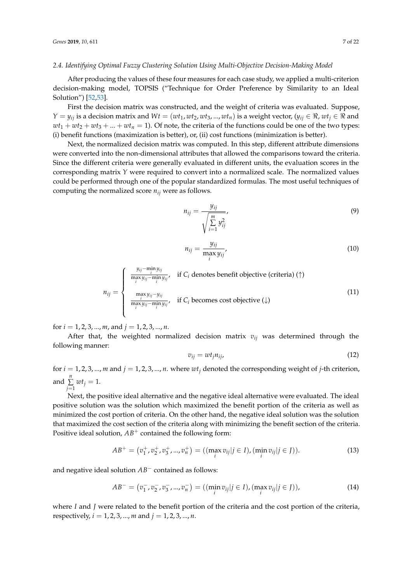After producing the values of these four measures for each case study, we applied a multi-criterion decision-making model, TOPSIS ("Technique for Order Preference by Similarity to an Ideal Solution") [\[52,](#page-21-0)[53\]](#page-21-1).

First the decision matrix was constructed, and the weight of criteria was evaluated. Suppose, *Y* = *y*<sub>*ij*</sub> is a decision matrix and *Wt* = (*wt*<sub>1</sub>, *wt*<sub>2</sub>, *wt*<sub>3</sub>, ..., *wt*<sub>n</sub>) is a weight vector, (*y*<sub>*ij*</sub> ∈ *R*, *wt*<sub>*j*</sub> ∈ *R* and  $wt_1 + wt_2 + wt_3 + ... + wt_n = 1$ . Of note, the criteria of the functions could be one of the two types: (i) benefit functions (maximization is better), or, (ii) cost functions (minimization is better).

Next, the normalized decision matrix was computed. In this step, different attribute dimensions were converted into the non-dimensional attributes that allowed the comparisons toward the criteria. Since the different criteria were generally evaluated in different units, the evaluation scores in the corresponding matrix *Y* were required to convert into a normalized scale. The normalized values could be performed through one of the popular standardized formulas. The most useful techniques of computing the normalized score *nij* were as follows.

$$
n_{ij} = \frac{y_{ij}}{\sqrt{\sum_{i=1}^{m} y_{ij}^2}},\tag{9}
$$

$$
n_{ij} = \frac{y_{ij}}{\max_i y_{ij}},
$$
\n(10)

$$
n_{ij} = \begin{cases} \frac{y_{ij} - \min_j y_{ij}}{\max_j y_{ij} - \min_j y_{ij}}, & \text{if } C_i \text{ denotes benefit objective (criterion) } (\uparrow) \\ \frac{\max_j y_{ij} - y_{ij}}{\max_j y_{ij} - \min_j y_{ij}}, & \text{if } C_i \text{ becomes cost objective } (\downarrow) \end{cases}
$$
(11)

for  $i = 1, 2, 3, ..., m$ , and  $j = 1, 2, 3, ..., n$ .

After that, the weighted normalized decision matrix  $v_{ij}$  was determined through the following manner:

$$
v_{ij} = wt_j n_{ij}, \tag{12}
$$

for  $i = 1, 2, 3, \dots, m$  and  $j = 1, 2, 3, \dots, n$ . where  $wt_i$  denoted the corresponding weight of *j*-th criterion, and  $\sum_{n=1}^{\infty}$  $\sum_{j=1} w t_j = 1.$ 

Next, the positive ideal alternative and the negative ideal alternative were evaluated. The ideal positive solution was the solution which maximized the benefit portion of the criteria as well as minimized the cost portion of criteria. On the other hand, the negative ideal solution was the solution that maximized the cost section of the criteria along with minimizing the benefit section of the criteria. Positive ideal solution,  $AB^+$  contained the following form:

$$
AB^{+} = (v_1^{+}, v_2^{+}, v_3^{+}, ..., v_n^{+}) = ((\max_{i} v_{ij} | j \in I), (\min_{i} v_{ij} | j \in J)).
$$
\n(13)

and negative ideal solution *AB*<sup>−</sup> contained as follows:

$$
AB^{-} = (v_1^{-}, v_2^{-}, v_3^{-}, ..., v_n^{-}) = ((\min_i v_{ij} | j \in I), (\max_i v_{ij} | j \in J)),
$$
\n(14)

where *I* and *J* were related to the benefit portion of the criteria and the cost portion of the criteria, respectively, *i* = 1, 2, 3, ..., *m* and *j* = 1, 2, 3, ..., *n*.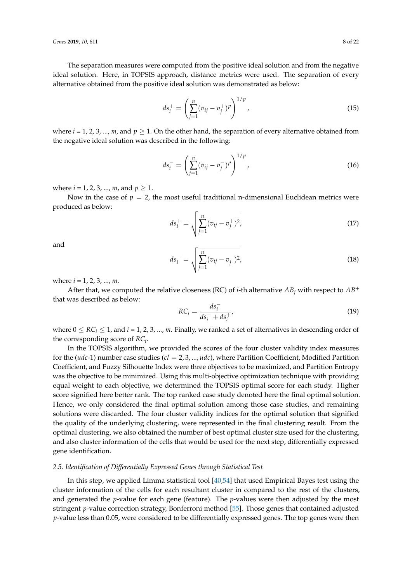The separation measures were computed from the positive ideal solution and from the negative ideal solution. Here, in TOPSIS approach, distance metrics were used. The separation of every alternative obtained from the positive ideal solution was demonstrated as below:

$$
ds_i^+ = \left(\sum_{j=1}^n (v_{ij} - v_j^+)^p\right)^{1/p},\tag{15}
$$

where  $i = 1, 2, 3, ..., m$ , and  $p \ge 1$ . On the other hand, the separation of every alternative obtained from the negative ideal solution was described in the following:

$$
ds_i^- = \left(\sum_{j=1}^n (v_{ij} - v_j^-)^p\right)^{1/p},\tag{16}
$$

where  $i = 1, 2, 3, ..., m$ , and  $p \ge 1$ .

Now in the case of  $p = 2$ , the most useful traditional n-dimensional Euclidean metrics were produced as below:

$$
ds_i^+ = \sqrt{\sum_{j=1}^n (v_{ij} - v_j^+)^2},\tag{17}
$$

and

$$
ds_i^- = \sqrt{\sum_{j=1}^n (v_{ij} - v_j^-)^2},\tag{18}
$$

where *i* = 1, 2, 3, ..., *m*.

After that, we computed the relative closeness (RC) of *i*-th alternative  $AB_j$  with respect to  $AB^+$ that was described as below:

$$
RC_i = \frac{ds_i^-}{ds_i^- + ds_i^+},\tag{19}
$$

where  $0 \le RC_i \le 1$ , and  $i = 1, 2, 3, ..., m$ . Finally, we ranked a set of alternatives in descending order of the corresponding score of *RC<sup>i</sup>* .

In the TOPSIS algorithm, we provided the scores of the four cluster validity index measures for the (*udc*-1) number case studies (*cl* = 2, 3, ..., *udc*), where Partition Coefficient, Modified Partition Coefficient, and Fuzzy Silhouette Index were three objectives to be maximized, and Partition Entropy was the objective to be minimized. Using this multi-objective optimization technique with providing equal weight to each objective, we determined the TOPSIS optimal score for each study. Higher score signified here better rank. The top ranked case study denoted here the final optimal solution. Hence, we only considered the final optimal solution among those case studies, and remaining solutions were discarded. The four cluster validity indices for the optimal solution that signified the quality of the underlying clustering, were represented in the final clustering result. From the optimal clustering, we also obtained the number of best optimal cluster size used for the clustering, and also cluster information of the cells that would be used for the next step, differentially expressed gene identification.

### *2.5. Identification of Differentially Expressed Genes through Statistical Test*

In this step, we applied Limma statistical tool [\[40,](#page-20-7)[54\]](#page-21-2) that used Empirical Bayes test using the cluster information of the cells for each resultant cluster in compared to the rest of the clusters, and generated the *p*-value for each gene (feature). The *p*-values were then adjusted by the most stringent *p*-value correction strategy, Bonferroni method [\[55\]](#page-21-3). Those genes that contained adjusted *p*-value less than 0.05, were considered to be differentially expressed genes. The top genes were then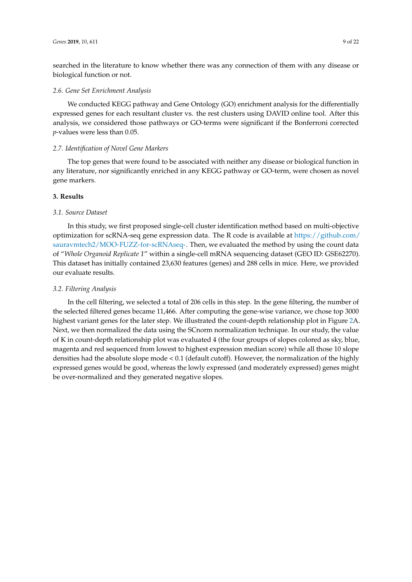searched in the literature to know whether there was any connection of them with any disease or biological function or not.

## *2.6. Gene Set Enrichment Analysis*

We conducted KEGG pathway and Gene Ontology (GO) enrichment analysis for the differentially expressed genes for each resultant cluster vs. the rest clusters using DAVID online tool. After this analysis, we considered those pathways or GO-terms were significant if the Bonferroni corrected *p*-values were less than 0.05.

# *2.7. Identification of Novel Gene Markers*

The top genes that were found to be associated with neither any disease or biological function in any literature, nor significantly enriched in any KEGG pathway or GO-term, were chosen as novel gene markers.

# **3. Results**

## *3.1. Source Dataset*

In this study, we first proposed single-cell cluster identification method based on multi-objective optimization for scRNA-seq gene expression data. The R code is available at [https://github.com/](https://github.com/sauravmtech2/MOO-FUZZ-for-scRNAseq-) [sauravmtech2/MOO-FUZZ-for-scRNAseq-.](https://github.com/sauravmtech2/MOO-FUZZ-for-scRNAseq-) Then, we evaluated the method by using the count data of "*Whole Organoid Replicate 1*" within a single-cell mRNA sequencing dataset (GEO ID: GSE62270). This dataset has initially contained 23,630 features (genes) and 288 cells in mice. Here, we provided our evaluate results.

# *3.2. Filtering Analysis*

In the cell filtering, we selected a total of 206 cells in this step. In the gene filtering, the number of the selected filtered genes became 11,466. After computing the gene-wise variance, we chose top 3000 highest variant genes for the later step. We illustrated the count-depth relationship plot in Figure [2A](#page-9-0). Next, we then normalized the data using the SCnorm normalization technique. In our study, the value of K in count-depth relationship plot was evaluated 4 (the four groups of slopes colored as sky, blue, magenta and red sequenced from lowest to highest expression median score) while all those 10 slope densities had the absolute slope mode < 0.1 (default cutoff). However, the normalization of the highly expressed genes would be good, whereas the lowly expressed (and moderately expressed) genes might be over-normalized and they generated negative slopes.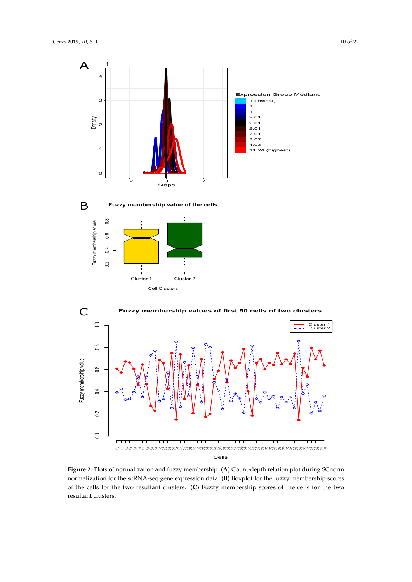<span id="page-9-0"></span>







**Figure 2.** Plots of normalization and fuzzy membership. (**A**) Count-depth relation plot during SCnorm normalization for the scRNA-seq gene expression data. (**B**) Boxplot for the fuzzy membership scores of the cells for the two resultant clusters. (**C**) Fuzzy membership scores of the cells for the two resultant clusters.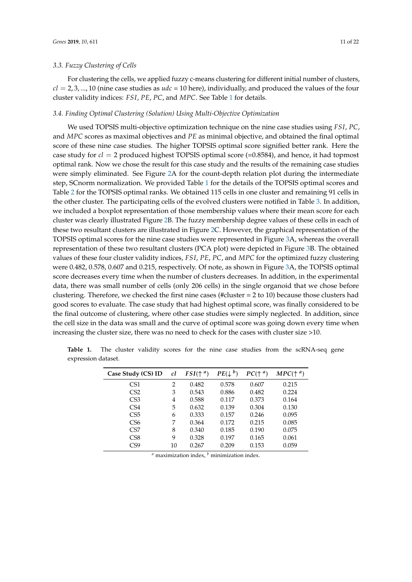# *3.3. Fuzzy Clustering of Cells*

For clustering the cells, we applied fuzzy c-means clustering for different initial number of clusters, *cl* = 2, 3, ..., 10 (nine case studies as *udc* = 10 here), individually, and produced the values of the four cluster validity indices: *FSI*, *PE*, *PC*, and *MPC*. See Table [1](#page-10-0) for details.

#### *3.4. Finding Optimal Clustering (Solution) Using Multi-Objective Optimization*

We used TOPSIS multi-objective optimization technique on the nine case studies using *FSI*, *PC*, and *MPC* scores as maximal objectives and *PE* as minimal objective, and obtained the final optimal score of these nine case studies. The higher TOPSIS optimal score signified better rank. Here the case study for *cl* = 2 produced highest TOPSIS optimal score (=0.8584), and hence, it had topmost optimal rank. Now we chose the result for this case study and the results of the remaining case studies were simply eliminated. See Figure [2A](#page-9-0) for the count-depth relation plot during the intermediate step, SCnorm normalization. We provided Table [1](#page-10-0) for the details of the TOPSIS optimal scores and Table [2](#page-11-0) for the TOPSIS optimal ranks. We obtained 115 cells in one cluster and remaining 91 cells in the other cluster. The participating cells of the evolved clusters were notified in Table [3.](#page-11-1) In addition, we included a boxplot representation of those membership values where their mean score for each cluster was clearly illustrated Figure [2B](#page-9-0). The fuzzy membership degree values of these cells in each of these two resultant clusters are illustrated in Figure [2C](#page-9-0). However, the graphical representation of the TOPSIS optimal scores for the nine case studies were represented in Figure [3A](#page-12-0), whereas the overall representation of these two resultant clusters (PCA plot) were depicted in Figure [3B](#page-12-0). The obtained values of these four cluster validity indices, *FSI*, *PE*, *PC*, and *MPC* for the optimized fuzzy clustering were 0.482, 0.578, 0.607 and 0.215, respectively. Of note, as shown in Figure [3A](#page-12-0), the TOPSIS optimal score decreases every time when the number of clusters decreases. In addition, in the experimental data, there was small number of cells (only 206 cells) in the single organoid that we chose before clustering. Therefore, we checked the first nine cases (#cluster = 2 to 10) because those clusters had good scores to evaluate. The case study that had highest optimal score, was finally considered to be the final outcome of clustering, where other case studies were simply neglected. In addition, since the cell size in the data was small and the curve of optimal score was going down every time when increasing the cluster size, there was no need to check for the cases with cluster size >10.

| Case Study (CS) ID | cl            | $FSI(\uparrow^a)$ | b <sub>1</sub><br>$PE(\downarrow$ | $PC(\uparrow a)$ | $MPC(\uparrow^a)$ |
|--------------------|---------------|-------------------|-----------------------------------|------------------|-------------------|
| CS1                | $\mathcal{L}$ | 0.482             | 0.578                             | 0.607            | 0.215             |
| CS <sub>2</sub>    | 3             | 0.543             | 0.886                             | 0.482            | 0.224             |
| CS <sub>3</sub>    | 4             | 0.588             | 0.117                             | 0.373            | 0.164             |
| CS <sub>4</sub>    | 5             | 0.632             | 0.139                             | 0.304            | 0.130             |
| CS <sub>5</sub>    | 6             | 0.333             | 0.157                             | 0.246            | 0.095             |
| C <sub>S6</sub>    | 7             | 0.364             | 0.172                             | 0.215            | 0.085             |
| CS <sub>7</sub>    | 8             | 0.340             | 0.185                             | 0.190            | 0.075             |
| CS <sub>8</sub>    | 9             | 0.328             | 0.197                             | 0.165            | 0.061             |
| CS9                | 10            | 0.267             | 0.209                             | 0.153            | 0.059             |

<span id="page-10-0"></span>Table 1. The cluster validity scores for the nine case studies from the scRNA-seq gene expression dataset.

*<sup>a</sup>* maximization index, *<sup>b</sup>* minimization index.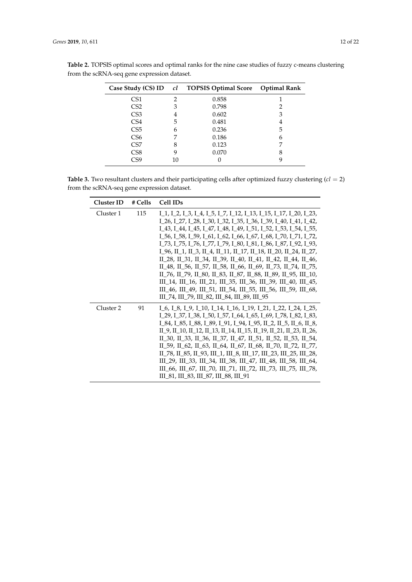|                 |   | Case Study (CS) ID cl TOPSIS Optimal Score Optimal Rank |   |
|-----------------|---|---------------------------------------------------------|---|
| CS <sub>1</sub> | 2 | 0.858                                                   |   |
| CS <sub>2</sub> | З | 0.798                                                   |   |
| CS <sub>3</sub> | 4 | 0.602                                                   | З |
| CS <sub>4</sub> | 5 | 0.481                                                   | 4 |
| CS <sub>5</sub> | 6 | 0.236                                                   | 5 |
| CS <sub>6</sub> | 7 | 0.186                                                   |   |
| CS7             | 8 | 0.123                                                   |   |
| CS <sub>8</sub> | 9 | 0.070                                                   | 8 |
| ~S9             |   |                                                         |   |

<span id="page-11-0"></span>**Table 2.** TOPSIS optimal scores and optimal ranks for the nine case studies of fuzzy c-means clustering from the scRNA-seq gene expression dataset.

<span id="page-11-1"></span>

| Table 3. Two resultant clusters and their participating cells after optimized fuzzy clustering $(cl = 2)$ |  |  |
|-----------------------------------------------------------------------------------------------------------|--|--|
| from the scRNA-seq gene expression dataset.                                                               |  |  |

| <b>Cluster ID</b> | # Cells | Cell IDs                                                                                                                                                                                                                                                                                                                                                                                                                                                                                                                                                                                                                                                                                                                                                                                                                                                                                                            |
|-------------------|---------|---------------------------------------------------------------------------------------------------------------------------------------------------------------------------------------------------------------------------------------------------------------------------------------------------------------------------------------------------------------------------------------------------------------------------------------------------------------------------------------------------------------------------------------------------------------------------------------------------------------------------------------------------------------------------------------------------------------------------------------------------------------------------------------------------------------------------------------------------------------------------------------------------------------------|
| Cluster 1         | 115     | $1\ 1, 1\ 2, 1\ 3, 1\ 4, 1\ 5, 1\ 7, 1\ 12, 1\ 13, 1\ 15, 1\ 17, 1\ 20, 1\ 23,$<br>$1\ 26$ , $1\ 27$ , $1\ 28$ , $1\ 30$ , $1\ 32$ , $1\ 35$ , $1\ 36$ , $1\ 39$ , $1\ 40$ , $1\ 41$ , $1\ 42$ ,<br>I_43, I_44, I_45, I_47, I_48, I_49, I_51, I_52, I_53, I_54, I_55,<br>$I$ 56, $I$ 58, $I$ 59, $I$ 61, $I$ 62, $I$ 66, $I$ 67, $I$ 68, $I$ 70, $I$ 71, $I$ 72,<br>I 73, I 75, I 76, I 77, I 79, I 80, I 81, I 86, I 87, I 92, I 93,<br>$I_{\cdot}$ 96, II 1, II 3, II 4, II 11, II 17, II 18, II 20, II 24, II 27,<br>II 28, II 31, II 34, II 39, II 40, II 41, II 42, II 44, II 46,<br>II_48, II_56, II_57, II_58, II_66, II_69, II_73, II_74, II_75,<br>II 76, II 79, II 80, II 83, II 87, II 88, II 89, II 95, III 10,<br>III 14, III 16, III 21, III 35, III 36, III 39, III 40, III 45,<br>III_46, III_49, III_51, III_54, III_55, III_56, III_59, III_68,<br>III 74, III 79, III 82, III 84, III 89, III 95 |
| Cluster 2         | 91      | $I$ 6, $I$ 8, $I$ 9, $I$ 10, $I$ 14, $I$ 16, $I$ 19, $I$ 21, $I$ 22, $I$ 24, $I$ 25,<br>I_29, I_37, I_38, I_50, I_57, I_64, I_65, I_69, I_78, I_82, I_83,<br>$184, 185, 188, 189, 191, 194, 195, 112, 115, 116, 118,$<br>II 9, II 10, II 12, II 13, II 14, II 15, II 19, II 21, II 23, II 26,<br>II_30, II_33, II_36, II_37, II_47, II_51, II_52, II_53, II_54,<br>II_59, II_62, II_63, II_64, II_67, II_68, II_70, II_72, II_77,<br>II_78, II_85, II_93, III_1, III_8, III_17, III_23, III_25, III_28,<br>III 29, III 33, III 34, III 38, III 47, III 48, III 58, III 64,<br>III_66, III_67, III_70, III_71, III_72, III_73, III_75, III_78,<br>III_81, III_83, III_87, III_88, III_91                                                                                                                                                                                                                             |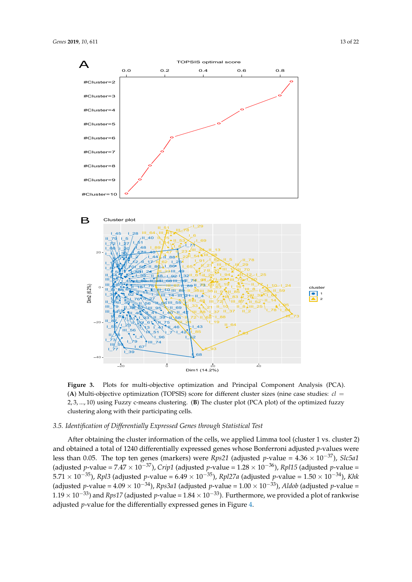<span id="page-12-0"></span>

**Figure 3.** Plots for multi-objective optimization and Principal Component Analysis (PCA). (**A**) Multi-objective optimization (TOPSIS) score for different cluster sizes (nine case studies: *cl* = 2, 3, ..., 10) using Fuzzy c-means clustering. (**B**) The cluster plot (PCA plot) of the optimized fuzzy clustering along with their participating cells.

# *3.5. Identification of Differentially Expressed Genes through Statistical Test*

After obtaining the cluster information of the cells, we applied Limma tool (cluster 1 vs. cluster 2) and obtained a total of 1240 differentially expressed genes whose Bonferroni adjusted *p*-values were less than 0.05. The top ten genes (markers) were *Rps21* (adjusted *p*-value = 4.36 × 10−37), *Slc5a1* (adjusted *p*-value =  $7.47 \times 10^{-37}$ ), *Crip1* (adjusted *p*-value =  $1.28 \times 10^{-36}$ ), *Rpl15* (adjusted *p*-value = 5.71 × 10−35), *Rpl3* (adjusted *p*-value = 6.49 × 10−35), *Rpl27a* (adjusted *p*-value = 1.50 × 10−34), *Khk* (adjusted *p*-value =  $4.09 \times 10^{-34}$ ), *Rps3a1* (adjusted *p*-value =  $1.00 \times 10^{-33}$ ), *Aldob* (adjusted *p*-value = 1.19 × 10−33) and *Rps17* (adjusted *p*-value = 1.84 × 10−33). Furthermore, we provided a plot of rankwise adjusted *p*-value for the differentially expressed genes in Figure [4.](#page-13-0)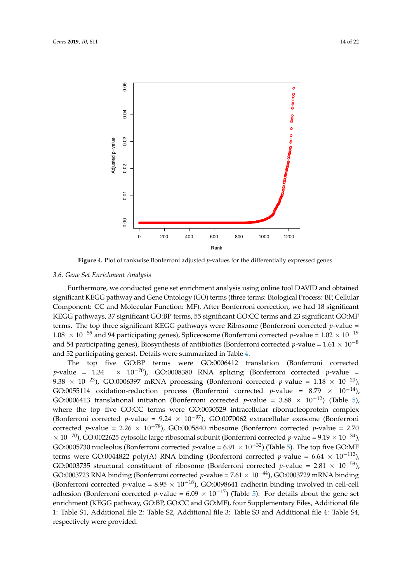

<span id="page-13-0"></span>

**Figure 4.** Plot of rankwise Bonferroni adjusted *p*-values for the differentially expressed genes.

# *3.6. Gene Set Enrichment Analysis*

Furthermore, we conducted gene set enrichment analysis using online tool DAVID and obtained significant KEGG pathway and Gene Ontology (GO) terms (three terms: Biological Process: BP, Cellular Component: CC and Molecular Function: MF). After Bonferroni correction, we had 18 significant KEGG pathways, 37 significant GO:BP terms, 55 significant GO:CC terms and 23 significant GO:MF terms. The top three significant KEGG pathways were Ribosome (Bonferroni corrected *p*-value = 1.08 × 10−<sup>59</sup> and 94 participating genes), Spliceosome (Bonferroni corrected *p*-value = 1.02 × 10−<sup>19</sup> and 54 participating genes), Biosynthesis of antibiotics (Bonferroni corrected *p*-value = 1.61 × 10−<sup>8</sup> and 52 participating genes). Details were summarized in Table [4.](#page-14-0)

The top five GO:BP terms were GO:0006412 translation (Bonferroni corrected *p*-value =  $1.34 \times 10^{-70}$ , GO:0008380 RNA splicing (Bonferroni corrected *p*-value = 9.38 × 10<sup>-23</sup>), GO:0006397 mRNA processing (Bonferroni corrected *p*-value = 1.18 × 10<sup>-20</sup>), GO:0055114 oxidation-reduction process (Bonferroni corrected *p*-value =  $8.79 \times 10^{-14}$ ), GO:0006413 translational initiation (Bonferroni corrected *p*-value = 3.88 × 10−12) (Table [5\)](#page-14-1), where the top five GO:CC terms were GO:0030529 intracellular ribonucleoprotein complex (Bonferroni corrected *p*-value = 9.24 × 10−97), GO:0070062 extracellular exosome (Bonferroni corrected *p*-value = 2.26 × 10<sup>-78</sup>), GO:0005840 ribosome (Bonferroni corrected *p*-value = 2.70  $\times$  10<sup>-70</sup>), GO:0022625 cytosolic large ribosomal subunit (Bonferroni corrected *p*-value = 9.19  $\times$  10<sup>-34</sup>), GO:0005730 nucleolus (Bonferroni corrected *p*-value =  $6.91 \times 10^{-32}$ ) (Table [5\)](#page-14-1). The top five GO:MF terms were GO:0044822 poly(A) RNA binding (Bonferroni corrected *p*-value =  $6.64 \times 10^{-112}$ ), GO:0003735 structural constituent of ribosome (Bonferroni corrected *p*-value = 2.81 × 10<sup>-53</sup>), GO:0003723 RNA binding (Bonferroni corrected *p*-value = 7.61 × 10−44), GO:0003729 mRNA binding (Bonferroni corrected *p*-value =  $8.95 \times 10^{-18}$ ), GO:0098641 cadherin binding involved in cell-cell adhesion (Bonferroni corrected *p*-value =  $6.09 \times 10^{-17}$ ) (Table [5\)](#page-14-1). For details about the gene set enrichment (KEGG pathway, GO:BP, GO:CC and GO:MF), four Supplementary Files, Additional file 1: Table S1, Additional file 2: Table S2, Additional file 3: Table S3 and Additional file 4: Table S4, respectively were provided.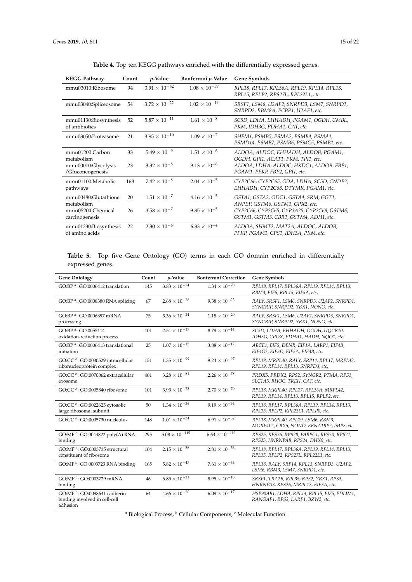<span id="page-14-0"></span>

| <b>KEGG Pathway</b>                                                       | Count    | <i>p</i> -Value                                | Bonferroni p-Value                             | <b>Gene Symbols</b>                                                                                                                                             |
|---------------------------------------------------------------------------|----------|------------------------------------------------|------------------------------------------------|-----------------------------------------------------------------------------------------------------------------------------------------------------------------|
| mmu03010:Ribosome                                                         | 94       | $3.91 \times 10^{-62}$                         | $1.08 \times 10^{-59}$                         | RPL18, RPL17, RPL36A, RPL19, RPL14, RPL13,<br>RPL15, RPLP2, RPS27L, RPL22L1, etc.                                                                               |
| mmu03040:Spliceosome                                                      | 54       | $3.72 \times 10^{-22}$                         | $1.02 \times 10^{-19}$                         | SRSF1, LSM6, U2AF2, SNRPD3, LSM7, SNRPD1,<br>SNRPD2, RBM8A, PCBP1, U2AF1, etc.                                                                                  |
| mmu01130:Biosynthesis<br>of antibiotics                                   | 52       | $5.87 \times 10^{-11}$                         | $1.61 \times 10^{-8}$                          | SC5D, LDHA, EHHADH, PGAM1, OGDH, CMBL,<br>PKM, IDH3G, PDHA1, CAT, etc.                                                                                          |
| mmu03050:Proteasome                                                       | 21       | $3.95\times10^{-10}$                           | $1.09 \times 10^{-7}$                          | SHFM1, PSMB5, PSMA2, PSMB4, PSMA1,<br>PSMD14, PSMB7, PSMB6, PSMC5, PSMB1, etc.                                                                                  |
| mmu01200:Carbon<br>metabolism<br>mmu00010:Glycolysis<br>/Gluconeogenesis  | 33<br>23 | $5.49 \times 10^{-9}$<br>$3.32 \times 10^{-8}$ | $1.51 \times 10^{-6}$<br>$9.13 \times 10^{-6}$ | ALDOA, ALDOC, EHHADH, ALDOB, PGAM1,<br>OGDH, GPI1, ACAT1, PKM, TPI1, etc.<br>ALDOA, LDHA, ALDOC, HKDC1, ALDOB, FBP1,<br>PGAM1, PFKP, FBP2, GPI1, etc.           |
| mmu01100:Metabolic<br>pathways                                            | 168      | $7.42 \times 10^{-8}$                          | $2.04 \times 10^{-5}$                          | CYP2C66, CYP2C65, GDA, LDHA, SC5D, CNDP2,<br>EHHADH, CYP2C68, DTYMK, PGAM1, etc.                                                                                |
| mmu00480:Glutathione<br>metabolism<br>mmu05204:Chemical<br>carcinogenesis | 20<br>26 | $1.51 \times 10^{-7}$<br>$3.58 \times 10^{-7}$ | $4.16 \times 10^{-5}$<br>$9.85 \times 10^{-5}$ | GSTA1, GSTA2, ODC1, GSTA4, SRM, GGT1,<br>ANPEP, GSTM6, GSTM1, GPX2, etc.<br>CYP2C66, CYP2C65, CYP3A25, CYP2C68, GSTM6,<br>GSTM1, GSTM3, CBR1, GSTM4, ADH1, etc. |
| mmu01230:Biosynthesis<br>of amino acids                                   | 22       | $2.30 \times 10^{-6}$                          | $6.33 \times 10^{-4}$                          | ALDOA, SHMT2, MAT2A, ALDOC, ALDOB,<br>PFKP, PGAM1, CPS1, IDH3A, PKM, etc.                                                                                       |

**Table 4.** Top ten KEGG pathways enriched with the differentially expressed genes.

<span id="page-14-1"></span>**Table 5.** Top five Gene Ontology (GO) terms in each GO domain enriched in differentially expressed genes.

| <b>Gene Ontology</b>                                                      | Count | <i>p</i> -Value         | <b>Bonferroni Correction</b> | <b>Gene Symbols</b>                                                               |
|---------------------------------------------------------------------------|-------|-------------------------|------------------------------|-----------------------------------------------------------------------------------|
| GO:BP <sup>a</sup> : GO:0006412 translation                               | 145   | $3.83 \times 10^{-74}$  | $1.34 \times 10^{-70}$       | RPL18, RPL17, RPL36A, RPL19, RPL14, RPL13,<br>RBM3, EIF5, RPL15, EIF5A, etc.      |
| GO:BP $a$ : GO:0008380 RNA splicing                                       | 67    | $2.68 \times 10^{-26}$  | $9.38 \times 10^{-23}$       | RALY, SRSF1, LSM6, SNRPD3, U2AF2, SNRPD1,<br>SYNCRIP, SNRPD2, YBX1, NONO, etc.    |
| GO:BP <sup>a</sup> : GO:0006397 mRNA<br>processing                        | 75    | $3.36 \times 10^{-24}$  | $1.18 \times 10^{-20}$       | RALY, SRSF1, LSM6, U2AF2, SNRPD3, SNRPD1,<br>SYNCRIP, SNRPD2, YBX1, NONO, etc.    |
| GO:BP <sup>a</sup> : GO:0055114<br>oxidation-reduction process            | 101   | $2.51 \times 10^{-17}$  | $8.79 \times 10^{-14}$       | SC5D, LDHA, EHHADH, OGDH, UOCR10,<br>IDH3G, CPOX, PDHA1, HADH, NQO1, etc.         |
| GO:BP <sup>a</sup> : GO:0006413 translational<br>initiation               | 25    | $1.07 \times 10^{-15}$  | $3.88 \times 10^{-12}$       | ABCE1, EIF5, DENR, EIF1A, LARP1, EIF4B,<br>EIF4G2, EIF3D, EIF3A, EIF3B, etc.      |
| GO:CC $^b$ : GO:0030529 intracellular<br>ribonucleoprotein complex        | 151   | $1.35 \times 10^{-99}$  | $9.24 \times 10^{-97}$       | RPL18, MRPL40, RALY, SRP14, RPL17, MRPL42,<br>RPL19, RPL14, RPL13, SNRPD3, etc.   |
| GO:CC $^b$ : GO:0070062 extracellular<br>exosome                          | 401   | $3.28 \times 10^{-81}$  | $2.26 \times 10^{-78}$       | PRDX5, PRDX2, RPS2, SYNGR2, PTMA, RPS3,<br>SLC1A5, RHOC, TREH, CAT, etc.          |
| GO:CC $^b$ : GO:0005840 ribosome                                          | 101   | $3.93 \times 10^{-73}$  | $2.70 \times 10^{-70}$       | RPL18, MRPL40, RPL17, RPL36A, MRPL42,<br>RPL19, RPL14, RPL13, RPL15, RPLP2, etc.  |
| GO:CC $^b$ : GO:0022625 cytosolic<br>large ribosomal subunit              | 50    | $1.34 \times 10^{-36}$  | $9.19 \times 10^{-34}$       | RPL18, RPL17, RPL36A, RPL19, RPL14, RPL13,<br>RPL15, RPLP2, RPL22L1, RPLP0, etc.  |
| GO:CC $^b$ : GO:0005730 nucleolus                                         | 148   | $1.01 \times 10^{-34}$  | $6.91 \times 10^{-32}$       | RPL18, MRPL40, RPL19, LSM6, RBM3,<br>MORF4L2, CBX5, NONO, EBNA1BP2, IMP3, etc.    |
| GO:MF $c$ : GO:0044822 poly(A) RNA<br>binding                             | 295   | $5.08 \times 10^{-115}$ | $6.64 \times 10^{-112}$      | RPS25, RPS26, RPS28, PABPC1, RPS20, RPS21,<br>RPS23, HNRNPAB, RPS24, DHX9, etc.   |
| GO:MF <sup>c</sup> : GO:0003735 structural<br>constituent of ribosome     | 104   | $2.15 \times 10^{-56}$  | $2.81 \times 10^{-53}$       | RPL18, RPL17, RPL36A, RPL19, RPL14, RPL13,<br>RPL15, RPLP2, RPS27L, RPL22L1, etc. |
| GO:MF <sup>c</sup> : GO:0003723 RNA binding                               | 165   | $5.82 \times 10^{-47}$  | $7.61 \times 10^{-44}$       | RPL18, RALY, SRP14, RPL13, SNRPD3, U2AF2,<br>LSM6, RBM3, LSM7, SNRPD1, etc.       |
| GO:MF <sup>c</sup> : GO:0003729 mRNA<br>binding                           | 46    | $6.85 \times 10^{-21}$  | $8.95 \times 10^{-18}$       | SRSF1, TRA2B, RPL35, RPS2, YBX1, RPS3,<br>HNRNPA3, RPS26, MRPL13, EIF3A, etc.     |
| GO:MF c: GO:0098641 cadherin<br>binding involved in cell-cell<br>adhesion | 64    | $4.66 \times 10^{-20}$  | $6.09 \times 10^{-17}$       | HSP90AB1, LDHA, RPL14, RPL15, EIF5, PDLIM1,<br>RANGAP1, RPS2, LARP1, BZW2, etc.   |

*<sup>a</sup>* Biological Process, *<sup>b</sup>* Cellular Components, *<sup>c</sup>* Molecular Function.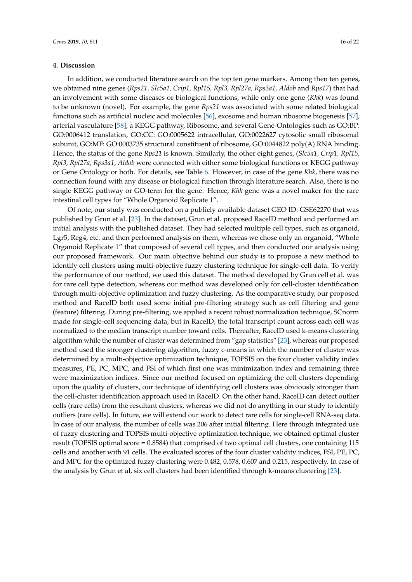# **4. Discussion**

In addition, we conducted literature search on the top ten gene markers. Among then ten genes, we obtained nine genes (*Rps21, Slc5a1, Crip1, Rpl15, Rpl3, Rpl27a, Rps3a1, Aldob* and *Rps17*) that had an involvement with some diseases or biological functions, while only one gene (*Khk*) was found to be unknown (novel). For example, the gene *Rps21* was associated with some related biological functions such as artificial nucleic acid molecules [\[56\]](#page-21-4), exosome and human ribosome biogenesis [\[57\]](#page-21-5), arterial vasculature [\[58\]](#page-21-6), a KEGG pathway, Ribosome, and several Gene-Ontologies such as GO:BP: GO:0006412 translation, GO:CC: GO:0005622 intracellular, GO:0022627 cytosolic small ribosomal subunit, GO:MF: GO:0003735 structural constituent of ribosome, GO:0044822 poly(A) RNA binding. Hence, the status of the gene *Rps21* is known. Similarly, the other eight genes, (*Slc5a1, Crip1, Rpl15, Rpl3, Rpl27a, Rps3a1, Aldob* were connected with either some biological functions or KEGG pathway or Gene Ontology or both. For details, see Table [6.](#page-16-0) However, in case of the gene *Khk*, there was no connection found with any disease or biological function through literature search. Also, there is no single KEGG pathway or GO-term for the gene. Hence, *Khk* gene was a novel maker for the rare intestinal cell types for "Whole Organoid Replicate 1".

Of note, our study was conducted on a publicly available dataset GEO ID: GSE62270 that was published by Grun et al. [\[23\]](#page-19-13). In the dataset, Grun et al. proposed RaceID method and performed an initial analysis with the published dataset. They had selected multiple cell types, such as organoid, Lgr5, Reg4, etc. and then performed analysis on them, whereas we chose only an organoid, "Whole Organoid Replicate 1" that composed of several cell types, and then conducted our analysis using our proposed framework. Our main objective behind our study is to propose a new method to identify cell clusters using multi-objective fuzzy clustering technique for single-cell data. To verify the performance of our method, we used this dataset. The method developed by Grun cell et al. was for rare cell type detection, whereas our method was developed only for cell-cluster identification through multi-objective optimization and fuzzy clustering. As the comparative study, our proposed method and RaceID both used some initial pre-filtering strategy such as cell filtering and gene (feature) filtering. During pre-filtering, we applied a recent robust normalization technique, SCnorm made for single-cell sequencing data, but in RaceID, the total transcript count across each cell was normalized to the median transcript number toward cells. Thereafter, RaceID used k-means clustering algorithm while the number of cluster was determined from "gap statistics" [\[23\]](#page-19-13), whereas our proposed method used the stronger clustering algorithm, fuzzy c-means in which the number of cluster was determined by a multi-objective optimization technique, TOPSIS on the four cluster validity index measures, PE, PC, MPC, and FSI of which first one was minimization index and remaining three were maximization indices. Since our method focused on optimizing the cell clusters depending upon the quality of clusters, our technique of identifying cell clusters was obviously stronger than the cell-cluster identification approach used in RaceID. On the other hand, RaceID can detect outlier cells (rare cells) from the resultant clusters, whereas we did not do anything in our study to identify outliers (rare cells). In future, we will extend our work to detect rare cells for single-cell RNA-seq data. In case of our analysis, the number of cells was 206 after initial filtering. Here through integrated use of fuzzy clustering and TOPSIS multi-objective optimization technique, we obtained optimal cluster result (TOPSIS optimal score = 0.8584) that comprised of two optimal cell clusters, one containing 115 cells and another with 91 cells. The evaluated scores of the four cluster validity indices, FSI, PE, PC, and MPC for the optimized fuzzy clustering were 0.482, 0.578, 0.607 and 0.215, respectively. In case of the analysis by Grun et al, six cell clusters had been identified through k-means clustering [\[23\]](#page-19-13).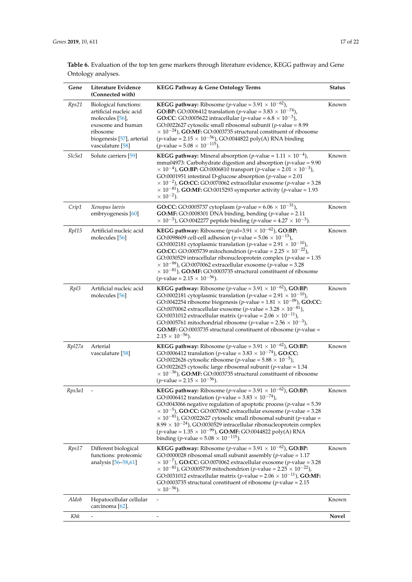<span id="page-16-0"></span>

| <b>Table 6.</b> Evaluation of the top ten gene markers through literature evidence, KEGG pathway and Gene |
|-----------------------------------------------------------------------------------------------------------|
| Ontology analyses.                                                                                        |

| Gene   | Literature Evidence<br>(Connected with)                                                                                                               | KEGG Pathway & Gene Ontology Terms                                                                                                                                                                                                                                                                                                                                                                                                                                                                                                                                                                                                                                   | <b>Status</b> |
|--------|-------------------------------------------------------------------------------------------------------------------------------------------------------|----------------------------------------------------------------------------------------------------------------------------------------------------------------------------------------------------------------------------------------------------------------------------------------------------------------------------------------------------------------------------------------------------------------------------------------------------------------------------------------------------------------------------------------------------------------------------------------------------------------------------------------------------------------------|---------------|
| Rps21  | Biological functions:<br>artificial nucleic acid<br>molecules [56],<br>exosome and human<br>ribosome<br>biogenesis [57], arterial<br>vasculature [58] | <b>KEGG pathway:</b> Ribosome ( <i>p</i> -value = $3.91 \times 10^{-62}$ ),<br><b>GO:BP:</b> GO:0006412 translation ( <i>p</i> -value = $3.83 \times 10^{-74}$ ),<br><b>GO:CC:</b> GO:0005622 intracellular ( <i>p</i> -value = $6.8 \times 10^{-3}$ ),<br>GO:0022627 cytosolic small ribosomal subunit ( $p$ -value = 8.99<br>$\times$ 10 <sup>-24</sup> ), <b>GO:MF:</b> GO:0003735 structural constituent of ribosome<br>( <i>p</i> -value = $2.15 \times 10^{-56}$ ), GO:0044822 poly(A) RNA binding<br>$(p\text{-value} = 5.08 \times 10^{-115}).$                                                                                                              | Known         |
| Slc5a1 | Solute carriers [59]                                                                                                                                  | <b>KEGG</b> pathway: Mineral absorption ( <i>p</i> -value = $1.11 \times 10^{-4}$ ),<br>mmu04973: Carbohydrate digestion and absorption ( $p$ -value = 9.90<br>$\times$ 10 <sup>-4</sup> ), <b>GO:BP:</b> GO:0006810 transport ( <i>p</i> -value = 2.01 $\times$ 10 <sup>-3</sup> ),<br>GO:0001951 intestinal D-glucose absorption ( $p$ -value = 2.01<br>$\times$ 10 <sup>-2</sup> ), GO:CC: GO:0070062 extracellular exosome (p-value = 3.28<br>$\times$ 10 <sup>-81</sup> ), <b>GO:MF:</b> GO:0015293 symporter activity ( <i>p</i> -value = 1.93<br>$\times$ 10 <sup>-2</sup> ).                                                                                 | Known         |
| Crip1  | Xenopus laevis<br>embryogenesis [60]                                                                                                                  | <b>GO:CC:</b> GO:0005737 cytoplasm ( <i>p</i> -value = 6.06 $\times$ 10 <sup>-31</sup> ),<br>GO:MF: GO:0008301 DNA binding, bending ( $p$ -value = 2.11)<br>$\times$ 10 <sup>-3</sup> ), GO:0042277 peptide binding ( <i>p</i> -value = 4.27 $\times$ 10 <sup>-3</sup> ).                                                                                                                                                                                                                                                                                                                                                                                            | Known         |
| Rp115  | Artificial nucleic acid<br>molecules [56]                                                                                                             | <b>KEGG pathway:</b> Ribosome (pval=3.91 $\times$ 10 <sup>-62</sup> ), <b>GO:BP:</b><br>GO:0098609 cell-cell adhesion ( <i>p</i> -value = $5.06 \times 10^{-13}$ ),<br>GO:0002181 cytoplasmic translation ( <i>p</i> -value = $2.91 \times 10^{-10}$ ),<br><b>GO:CC:</b> GO:0005739 mitochondrion ( <i>p</i> -value = $2.25 \times 10^{-22}$ ),<br>GO:0030529 intracellular ribonucleoprotein complex ( $p$ -value = 1.35<br>$\times$ 10 <sup>-99</sup> ), GO:0070062 extracellular exosome ( <i>p</i> -value = 3.28<br>$\times$ $10^{-81}$ ), GO:MF: GO:0003735 structural constituent of ribosome<br>( <i>p</i> -value = $2.15 \times 10^{-56}$ ).                 | Known         |
| Rpl3   | Artificial nucleic acid<br>molecules [56]                                                                                                             | <b>KEGG pathway:</b> Ribosome ( <i>p</i> -value = $3.91 \times 10^{-62}$ ), <b>GO:BP:</b><br>GO:0002181 cytoplasmic translation ( <i>p</i> -value = $2.91 \times 10^{-10}$ ),<br>GO:0042254 ribosome biogenesis ( <i>p</i> -value = $1.81 \times 10^{-09}$ ), GO:CC:<br>GO:0070062 extracellular exosome ( <i>p</i> -value = $3.28 \times 10^{-81}$ ),<br>GO:0031012 extracellular matrix ( <i>p</i> -value = $2.06 \times 10^{-11}$ ),<br>GO:0005761 mitochondrial ribosome ( <i>p</i> -value = $2.56 \times 10^{-3}$ ),<br>GO:MF: GO:0003735 structural constituent of ribosome ( $p$ -value =<br>$2.15 \times 10^{-56}$ ).                                        | Known         |
| Rpl27a | Arterial<br>vasculature [58]                                                                                                                          | <b>KEGG pathway:</b> Ribosome ( <i>p</i> -value = $3.91 \times 10^{-62}$ ), <b>GO:BP:</b><br>GO:0006412 translation ( <i>p</i> -value = $3.83 \times 10^{-74}$ ), GO:CC:<br>GO:0022626 cytosolic ribosome ( <i>p</i> -value = $5.88 \times 10^{-5}$ ),<br>GO:0022625 cytosolic large ribosomal subunit ( $p$ -value = 1.34<br>$\times$ 10 <sup>-36</sup> ), GO:MF: GO:0003735 structural constituent of ribosome<br>( <i>p</i> -value = $2.15 \times 10^{-56}$ ).                                                                                                                                                                                                    | Known         |
| Rps3a1 |                                                                                                                                                       | <b>KEGG pathway:</b> Ribosome (p-value = $3.91 \times 10^{-62}$ ), <b>GO:BP:</b><br>GO:0006412 translation ( <i>p</i> -value = $3.83 \times 10^{-74}$ ),<br>GO:0043066 negative regulation of apoptotic process ( $p$ -value = 5.39<br>$\times$ 10 <sup>-5</sup> ), <b>GO:CC:</b> GO:0070062 extracellular exosome ( <i>p</i> -value = 3.28<br>$\times$ 10 <sup>-81</sup> ), GO:0022627 cytosolic small ribosomal subunit ( <i>p</i> -value =<br>$8.99 \times 10^{-24}$ ), GO:0030529 intracellular ribonucleoprotein complex<br>$(p\text{-value} = 1.35 \times 10^{-99})$ , GO:MF: GO:0044822 poly(A) RNA<br>binding ( <i>p</i> -value = $5.08 \times 10^{-115}$ ). | Known         |
| Rps17  | Different biological<br>functions: proteomic<br>analysis $[56 - 58, 61]$                                                                              | <b>KEGG pathway:</b> Ribosome (p-value = $3.91 \times 10^{-62}$ ), <b>GO:BP:</b><br>GO:0000028 ribosomal small subunit assembly ( $p$ -value = 1.17<br>$\times$ 10 <sup>-7</sup> ), <b>GO:CC:</b> GO:0070062 extracellular exosome ( <i>p</i> -value = 3.28<br>$\times$ 10 <sup>-81</sup> ), GO:0005739 mitochondrion ( <i>p</i> -value = 2.25 $\times$ 10 <sup>-22</sup> ),<br>GO:0031012 extracellular matrix ( <i>p</i> -value = $2.06 \times 10^{-11}$ ), GO:MF:<br>GO:0003735 structural constituent of ribosome ( $p$ -value = 2.15<br>$\times$ 10 <sup>-56</sup> ).                                                                                           | Known         |
| Aldob  | Hepatocellular cellular<br>carcinoma [62].                                                                                                            |                                                                                                                                                                                                                                                                                                                                                                                                                                                                                                                                                                                                                                                                      | Known         |
| Khk    |                                                                                                                                                       |                                                                                                                                                                                                                                                                                                                                                                                                                                                                                                                                                                                                                                                                      | Novel         |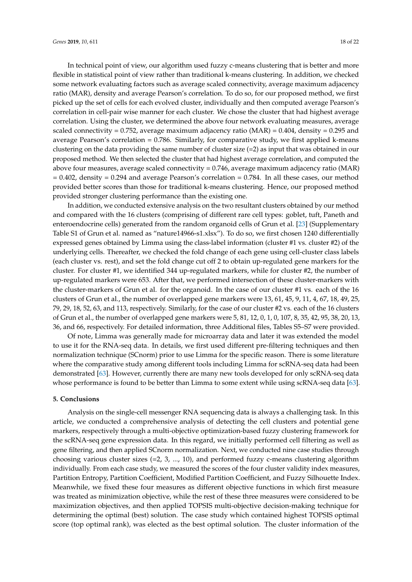In technical point of view, our algorithm used fuzzy c-means clustering that is better and more flexible in statistical point of view rather than traditional k-means clustering. In addition, we checked some network evaluating factors such as average scaled connectivity, average maximum adjacency ratio (MAR), density and average Pearson's correlation. To do so, for our proposed method, we first picked up the set of cells for each evolved cluster, individually and then computed average Pearson's correlation in cell-pair wise manner for each cluster. We chose the cluster that had highest average correlation. Using the cluster, we determined the above four network evaluating measures, average scaled connectivity = 0.752, average maximum adjacency ratio (MAR) = 0.404, density = 0.295 and average Pearson's correlation = 0.786. Similarly, for comparative study, we first applied k-means clustering on the data providing the same number of cluster size (=2) as input that was obtained in our proposed method. We then selected the cluster that had highest average correlation, and computed the above four measures, average scaled connectivity = 0.746, average maximum adjacency ratio (MAR)  $= 0.402$ , density  $= 0.294$  and average Pearson's correlation  $= 0.784$ . In all these cases, our method provided better scores than those for traditional k-means clustering. Hence, our proposed method provided stronger clustering performance than the existing one.

In addition, we conducted extensive analysis on the two resultant clusters obtained by our method and compared with the 16 clusters (comprising of different rare cell types: goblet, tuft, Paneth and enteroendocrine cells) generated from the random organoid cells of Grun et al. [\[23\]](#page-19-13) (Supplementary Table S1 of Grun et al. named as "nature14966-s1.xlsx"). To do so, we first chosen 1240 differentially expressed genes obtained by Limma using the class-label information (cluster #1 vs. cluster #2) of the underlying cells. Thereafter, we checked the fold change of each gene using cell-cluster class labels (each cluster vs. rest), and set the fold change cut off 2 to obtain up-regulated gene markers for the cluster. For cluster #1, we identified 344 up-regulated markers, while for cluster #2, the number of up-regulated markers were 653. After that, we performed intersection of these cluster-markers with the cluster-markers of Grun et al. for the organoid. In the case of our cluster #1 vs. each of the 16 clusters of Grun et al., the number of overlapped gene markers were 13, 61, 45, 9, 11, 4, 67, 18, 49, 25, 79, 29, 18, 52, 63, and 113, respectively. Similarly, for the case of our cluster #2 vs. each of the 16 clusters of Grun et al., the number of overlapped gene markers were 5, 81, 12, 0, 1, 0, 107, 8, 35, 42, 95, 38, 20, 13, 36, and 66, respectively. For detailed information, three Additional files, Tables S5–S7 were provided.

Of note, Limma was generally made for microarray data and later it was extended the model to use it for the RNA-seq data. In details, we first used different pre-filtering techniques and then normalization technique (SCnorm) prior to use Limma for the specific reason. There is some literature where the comparative study among different tools including Limma for scRNA-seq data had been demonstrated [\[63\]](#page-21-11). However, currently there are many new tools developed for only scRNA-seq data whose performance is found to be better than Limma to some extent while using scRNA-seq data [\[63\]](#page-21-11).

# **5. Conclusions**

Analysis on the single-cell messenger RNA sequencing data is always a challenging task. In this article, we conducted a comprehensive analysis of detecting the cell clusters and potential gene markers, respectively through a multi-objective optimization-based fuzzy clustering framework for the scRNA-seq gene expression data. In this regard, we initially performed cell filtering as well as gene filtering, and then applied SCnorm normalization. Next, we conducted nine case studies through choosing various cluster sizes  $(=2, 3, \ldots, 10)$ , and performed fuzzy c-means clustering algorithm individually. From each case study, we measured the scores of the four cluster validity index measures, Partition Entropy, Partition Coefficient, Modified Partition Coefficient, and Fuzzy Silhouette Index. Meanwhile, we fixed these four measures as different objective functions in which first measure was treated as minimization objective, while the rest of these three measures were considered to be maximization objectives, and then applied TOPSIS multi-objective decision-making technique for determining the optimal (best) solution. The case study which contained highest TOPSIS optimal score (top optimal rank), was elected as the best optimal solution. The cluster information of the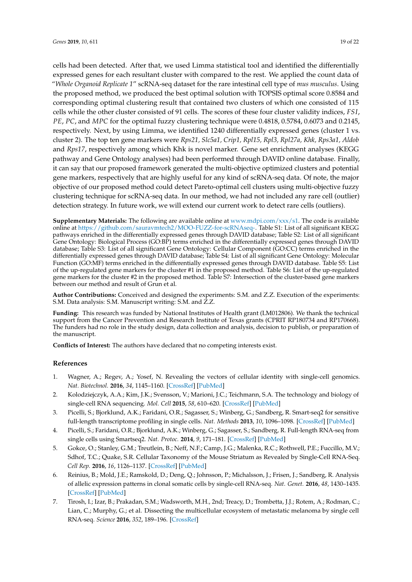cells had been detected. After that, we used Limma statistical tool and identified the differentially expressed genes for each resultant cluster with compared to the rest. We applied the count data of "*Whole Organoid Replicate 1*" scRNA-seq dataset for the rare intestinal cell type of *mus musculus*. Using the proposed method, we produced the best optimal solution with TOPSIS optimal score 0.8584 and corresponding optimal clustering result that contained two clusters of which one consisted of 115 cells while the other cluster consisted of 91 cells. The scores of these four cluster validity indices, *FSI*, *PE*, *PC*, and *MPC* for the optimal fuzzy clustering technique were 0.4818, 0.5784, 0.6073 and 0.2145, respectively. Next, by using Limma, we identified 1240 differentially expressed genes (cluster 1 vs. cluster 2). The top ten gene markers were *Rps21, Slc5a1, Crip1, Rpl15, Rpl3, Rpl27a, Khk, Rps3a1, Aldob* and *Rps17*, respectively among which Khk is novel marker. Gene set enrichment analyses (KEGG pathway and Gene Ontology analyses) had been performed through DAVID online database. Finally, it can say that our proposed framework generated the multi-objective optimized clusters and potential gene markers, respectively that are highly useful for any kind of scRNA-seq data. Of note, the major objective of our proposed method could detect Pareto-optimal cell clusters using multi-objective fuzzy clustering technique for scRNA-seq data. In our method, we had not included any rare cell (outlier) detection strategy. In future work, we will extend our current work to detect rare cells (outliers).

**Supplementary Materials:** The following are available online at [www.mdpi.com/xxx/s1.](www.mdpi.com/xxx/s1) The code is available online at [https://github.com/sauravmtech2/MOO-FUZZ-for-scRNAseq-.](https://github.com/sauravmtech2/MOO-FUZZ-for-scRNAseq-) Table S1: List of all significant KEGG pathways enriched in the differentially expressed genes through DAVID database; Table S2: List of all significant Gene Ontology: Biological Process (GO:BP) terms enriched in the differentially expressed genes through DAVID database; Table S3: List of all significant Gene Ontology: Cellular Component (GO:CC) terms enriched in the differentially expressed genes through DAVID database; Table S4: List of all significant Gene Ontology: Molecular Function (GO:MF) terms enriched in the differentially expressed genes through DAVID database. Table S5: List of the up-regulated gene markers for the cluster #1 in the proposed method. Table S6: List of the up-regulated gene markers for the cluster #2 in the proposed method. Table S7: Intersection of the cluster-based gene markers between our method and result of Grun et al.

**Author Contributions:** Conceived and designed the experiments: S.M. and Z.Z. Execution of the experiments: S.M. Data analysis: S.M. Manuscript writing: S.M. and Z.Z.

**Funding:** This research was funded by National Institutes of Health grant (LM012806). We thank the technical support from the Cancer Prevention and Research Institute of Texas grants (CPRIT RP180734 and RP170668). The funders had no role in the study design, data collection and analysis, decision to publish, or preparation of the manuscript.

**Conflicts of Interest:** The authors have declared that no competing interests exist.

# **References**

- <span id="page-18-0"></span>1. Wagner, A.; Regev, A.; Yosef, N. Revealing the vectors of cellular identity with single-cell genomics. *Nat. Biotechnol.* **2016**, *34*, 1145–1160. [\[CrossRef\]](http://dx.doi.org/10.1038/nbt.3711) [\[PubMed\]](http://www.ncbi.nlm.nih.gov/pubmed/27824854)
- <span id="page-18-1"></span>2. Kolodziejczyk, A.A.; Kim, J.K.; Svensson, V.; Marioni, J.C.; Teichmann, S.A. The technology and biology of single-cell RNA sequencing. *Mol. Cell* **2015**, *58*, 610–620. [\[CrossRef\]](http://dx.doi.org/10.1016/j.molcel.2015.04.005) [\[PubMed\]](http://www.ncbi.nlm.nih.gov/pubmed/26000846)
- <span id="page-18-2"></span>3. Picelli, S.; Bjorklund, A.K.; Faridani, O.R.; Sagasser, S.; Winberg, G.; Sandberg, R. Smart-seq2 for sensitive full-length transcriptome profiling in single cells. *Nat. Methods* **2013**, *10*, 1096–1098. [\[CrossRef\]](http://dx.doi.org/10.1038/nmeth.2639) [\[PubMed\]](http://www.ncbi.nlm.nih.gov/pubmed/24056875)
- <span id="page-18-3"></span>4. Picelli, S.; Faridani, O.R.; Bjorklund, A.K.; Winberg, G.; Sagasser, S.; Sandberg, R. Full-length RNA-seq from single cells using Smartseq2. *Nat. Protoc.* **2014**, *9*, 171–181. [\[CrossRef\]](http://dx.doi.org/10.1038/nprot.2014.006) [\[PubMed\]](http://www.ncbi.nlm.nih.gov/pubmed/24385147)
- <span id="page-18-4"></span>5. Gokce, O.; Stanley, G.M.; Treutlein, B.; Neff, N.F.; Camp, J.G.; Malenka, R.C.; Rothwell, P.E.; Fuccillo, M.V.; Sdhof, T.C.; Quake, S.R. Cellular Taxonomy of the Mouse Striatum as Revealed by Single-Cell RNA-Seq. *Cell Rep.* **2016**, *16*, 1126–1137. [\[CrossRef\]](http://dx.doi.org/10.1016/j.celrep.2016.06.059) [\[PubMed\]](http://www.ncbi.nlm.nih.gov/pubmed/27425622)
- 6. Reinius, B.; Mold, J.E.; Ramskold, D.; Deng, Q.; Johnsson, P.; Michalsson, J.; Frisen, J.; Sandberg, R. Analysis of allelic expression patterns in clonal somatic cells by single-cell RNA-seq. *Nat. Genet.* **2016**, *48*, 1430–1435. [\[CrossRef\]](http://dx.doi.org/10.1038/ng.3678) [\[PubMed\]](http://www.ncbi.nlm.nih.gov/pubmed/27668657)
- <span id="page-18-5"></span>7. Tirosh, I.; Izar, B.; Prakadan, S.M.; Wadsworth, M.H., 2nd; Treacy, D.; Trombetta, J.J.; Rotem, A.; Rodman, C.; Lian, C.; Murphy, G.; et al. Dissecting the multicellular ecosystem of metastatic melanoma by single cell RNA-seq. *Science* **2016**, *352*, 189–196. [\[CrossRef\]](http://dx.doi.org/10.1126/science.aad0501)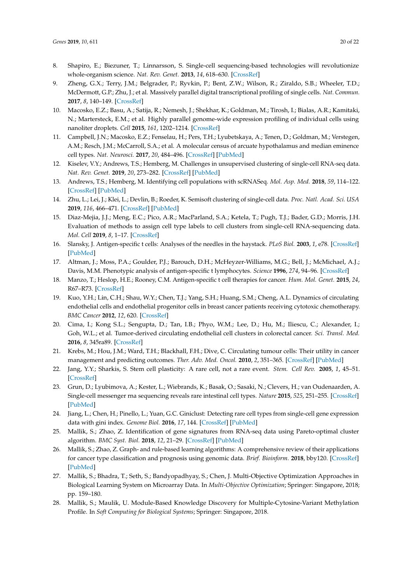- <span id="page-19-0"></span>8. Shapiro, E.; Biezuner, T.; Linnarsson, S. Single-cell sequencing-based technologies will revolutionize whole-organism science. *Nat. Rev. Genet.* **2013**, *14*, 618–630. [\[CrossRef\]](http://dx.doi.org/10.1038/nrg3542)
- <span id="page-19-1"></span>9. Zheng, G.X.; Terry, J.M.; Belgrader, P.; Ryvkin, P.; Bent, Z.W.; Wilson, R.; Ziraldo, S.B.; Wheeler, T.D.; McDermott, G.P.; Zhu, J.; et al. Massively parallel digital transcriptional profiling of single cells. *Nat. Commun.* **2017**, *8*, 140–149. [\[CrossRef\]](http://dx.doi.org/10.1038/ncomms14049)
- 10. Macosko, E.Z.; Basu, A.; Satija, R.; Nemesh, J.; Shekhar, K.; Goldman, M.; Tirosh, I.; Bialas, A.R.; Kamitaki, N.; Martersteck, E.M.; et al. Highly parallel genome-wide expression profiling of individual cells using nanoliter droplets. *Cell* **2015**, *161*, 1202–1214. [\[CrossRef\]](http://dx.doi.org/10.1016/j.cell.2015.05.002)
- <span id="page-19-2"></span>11. Campbell, J.N.; Macosko, E.Z.; Fenselau, H.; Pers, T.H.; Lyubetskaya, A.; Tenen, D.; Goldman, M.; Verstegen, A.M.; Resch, J.M.; McCarroll, S.A.; et al. A molecular census of arcuate hypothalamus and median eminence cell types. *Nat. Neurosci.* **2017**, *20*, 484–496. [\[CrossRef\]](http://dx.doi.org/10.1038/nn.4495) [\[PubMed\]](http://www.ncbi.nlm.nih.gov/pubmed/28166221)
- <span id="page-19-3"></span>12. Kiselev, V.Y.; Andrews, T.S.; Hemberg, M. Challenges in unsupervised clustering of single-cell RNA-seq data. *Nat. Rev. Genet.* **2019**, *20*, 273–282. [\[CrossRef\]](http://dx.doi.org/10.1038/s41576-018-0088-9) [\[PubMed\]](http://www.ncbi.nlm.nih.gov/pubmed/30617341)
- <span id="page-19-4"></span>13. Andrews, T.S.; Hemberg, M. Identifying cell populations with scRNASeq. *Mol. Asp. Med.* **2018**, *59*, 114–122. [\[CrossRef\]](http://dx.doi.org/10.1016/j.mam.2017.07.002) [\[PubMed\]](http://www.ncbi.nlm.nih.gov/pubmed/28712804)
- <span id="page-19-5"></span>14. Zhu, L.; Lei, J.; Klei, L.; Devlin, B.; Roeder, K. Semisoft clustering of single-cell data. *Proc. Natl. Acad. Sci. USA* **2019**, *116*, 466–471. [\[CrossRef\]](http://dx.doi.org/10.1073/pnas.1817715116) [\[PubMed\]](http://www.ncbi.nlm.nih.gov/pubmed/30587579)
- <span id="page-19-6"></span>15. Diaz-Mejia, J.J.; Meng, E.C.; Pico, A.R.; MacParland, S.A.; Ketela, T.; Pugh, T.J.; Bader, G.D.; Morris, J.H. Evaluation of methods to assign cell type labels to cell clusters from single-cell RNA-sequencing data. *Mol. Cell* **2019**, *8*, 1–17. [\[CrossRef\]](http://dx.doi.org/10.12688/f1000research.18490.1)
- <span id="page-19-7"></span>16. Slansky, J. Antigen-specific t cells: Analyses of the needles in the haystack. *PLoS Biol.* **2003**, *1*, e78. [\[CrossRef\]](http://dx.doi.org/10.1371/journal.pbio.0000078) [\[PubMed\]](http://www.ncbi.nlm.nih.gov/pubmed/14691549)
- 17. Altman, J.; Moss, P.A.; Goulder, P.J.; Barouch, D.H.; McHeyzer-Williams, M.G.; Bell, J.; McMichael, A.J.; Davis, M.M. Phenotypic analysis of antigen-specific t lymphocytes. *Science* **1996**, *274*, 94–96. [\[CrossRef\]](http://dx.doi.org/10.1126/science.274.5284.94)
- <span id="page-19-8"></span>18. Manzo, T.; Heslop, H.E.; Rooney, C.M. Antigen-specific t cell therapies for cancer. *Hum. Mol. Genet.* **2015**, *24*, R67–R73. [\[CrossRef\]](http://dx.doi.org/10.1093/hmg/ddv270)
- <span id="page-19-9"></span>19. Kuo, Y.H.; Lin, C.H.; Shau, W.Y.; Chen, T.J.; Yang, S.H.; Huang, S.M.; Cheng, A.L. Dynamics of circulating endothelial cells and endothelial progenitor cells in breast cancer patients receiving cytotoxic chemotherapy. *BMC Cancer* **2012**, *12*, 620. [\[CrossRef\]](http://dx.doi.org/10.1186/1471-2407-12-620)
- <span id="page-19-10"></span>20. Cima, I.; Kong S.L.; Sengupta, D.; Tan, I.B.; Phyo, W.M.; Lee, D.; Hu, M.; Iliescu, C.; Alexander, I.; Goh, W.L.; et al. Tumor-derived circulating endothelial cell clusters in colorectal cancer. *Sci. Transl. Med.* **2016**, *8*, 345ra89. [\[CrossRef\]](http://dx.doi.org/10.1126/scitranslmed.aad7369)
- <span id="page-19-11"></span>21. Krebs, M.; Hou, J.M.; Ward, T.H.; Blackhall, F.H.; Dive, C. Circulating tumour cells: Their utility in cancer management and predicting outcomes. *Ther. Adv. Med. Oncol.* **2010**, *2*, 351–365. [\[CrossRef\]](http://dx.doi.org/10.1177/1758834010378414) [\[PubMed\]](http://www.ncbi.nlm.nih.gov/pubmed/21789147)
- <span id="page-19-12"></span>22. Jang, Y.Y.; Sharkis, S. Stem cell plasticity: A rare cell, not a rare event. *Stem. Cell Rev.* **2005**, *1*, 45–51. [\[CrossRef\]](http://dx.doi.org/10.1385/SCR:1:1:045)
- <span id="page-19-13"></span>23. Grun, D.; Lyubimova, A.; Kester, L.; Wiebrands, K.; Basak, O.; Sasaki, N.; Clevers, H.; van Oudenaarden, A. Single-cell messenger rna sequencing reveals rare intestinal cell types. *Nature* **2015**, *525*, 251–255. [\[CrossRef\]](http://dx.doi.org/10.1038/nature14966) [\[PubMed\]](http://www.ncbi.nlm.nih.gov/pubmed/26287467)
- <span id="page-19-14"></span>24. Jiang, L.; Chen, H.; Pinello, L.; Yuan, G.C. Giniclust: Detecting rare cell types from single-cell gene expression data with gini index. *Genome Biol.* **2016**, *17*, 144. [\[CrossRef\]](http://dx.doi.org/10.1186/s13059-016-1010-4) [\[PubMed\]](http://www.ncbi.nlm.nih.gov/pubmed/27368803)
- <span id="page-19-15"></span>25. Mallik, S.; Zhao, Z. Identification of gene signatures from RNA-seq data using Pareto-optimal cluster algorithm. *BMC Syst. Biol.* **2018**, *12*, 21–29. [\[CrossRef\]](http://dx.doi.org/10.1186/s12918-018-0650-2) [\[PubMed\]](http://www.ncbi.nlm.nih.gov/pubmed/30577846)
- <span id="page-19-17"></span>26. Mallik, S.; Zhao, Z. Graph- and rule-based learning algorithms: A comprehensive review of their applications for cancer type classification and prognosis using genomic data. *Brief. Bioinform.* **2018**, bby120. [\[CrossRef\]](http://dx.doi.org/10.1093/bib/bby120) [\[PubMed\]](http://www.ncbi.nlm.nih.gov/pubmed/30649169)
- 27. Mallik, S.; Bhadra, T.; Seth, S.; Bandyopadhyay, S.; Chen, J. Multi-Objective Optimization Approaches in Biological Learning System on Microarray Data. In *Multi-Objective Optimization*; Springer: Singapore, 2018; pp. 159–180.
- <span id="page-19-16"></span>28. Mallik, S.; Maulik, U. Module-Based Knowledge Discovery for Multiple-Cytosine-Variant Methylation Profile. In *Soft Computing for Biological Systems*; Springer: Singapore, 2018.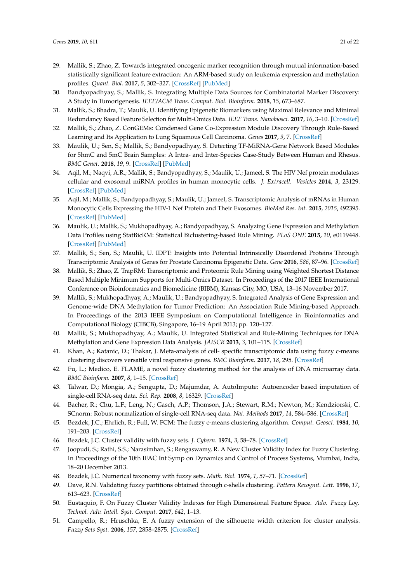- <span id="page-20-0"></span>29. Mallik, S.; Zhao, Z. Towards integrated oncogenic marker recognition through mutual information-based statistically significant feature extraction: An ARM-based study on leukemia expression and methylation profiles. *Quant. Biol.* **2017**, *5*, 302–327. [\[CrossRef\]](http://dx.doi.org/10.1007/s40484-017-0119-0) [\[PubMed\]](http://www.ncbi.nlm.nih.gov/pubmed/30221015)
- 30. Bandyopadhyay, S.; Mallik, S. Integrating Multiple Data Sources for Combinatorial Marker Discovery: A Study in Tumorigenesis. *IEEE/ACM Trans. Comput. Biol. Bioinform.* **2018**, *15*, 673–687.
- <span id="page-20-1"></span>31. Mallik, S.; Bhadra, T.; Maulik, U. Identifying Epigenetic Biomarkers using Maximal Relevance and Minimal Redundancy Based Feature Selection for Multi-Omics Data. *IEEE Trans. Nanobiosci.* **2017**, *16*, 3–10. [\[CrossRef\]](http://dx.doi.org/10.1109/TNB.2017.2650217)
- <span id="page-20-2"></span>32. Mallik, S.; Zhao, Z. ConGEMs: Condensed Gene Co-Expression Module Discovery Through Rule-Based Learning and Its Application to Lung Squamous Cell Carcinoma. *Genes* **2017**, *9*, 7. [\[CrossRef\]](http://dx.doi.org/10.3390/genes9010007)
- <span id="page-20-3"></span>33. Maulik, U.; Sen, S.; Mallik, S.; Bandyopadhyay, S. Detecting TF-MiRNA-Gene Network Based Modules for 5hmC and 5mC Brain Samples: A Intra- and Inter-Species Case-Study Between Human and Rhesus. *BMC Genet.* **2018**, *19*, 9. [\[CrossRef\]](http://dx.doi.org/10.1186/s12863-017-0574-7) [\[PubMed\]](http://www.ncbi.nlm.nih.gov/pubmed/29357837)
- <span id="page-20-4"></span>34. Aqil, M.; Naqvi, A.R.; Mallik, S.; Bandyopadhyay, S.; Maulik, U.; Jameel, S. The HIV Nef protein modulates cellular and exosomal miRNA profiles in human monocytic cells. *J. Extracell. Vesicles* **2014**, *3*, 23129. [\[CrossRef\]](http://dx.doi.org/10.3402/jev.v3.23129) [\[PubMed\]](http://www.ncbi.nlm.nih.gov/pubmed/24678387)
- <span id="page-20-5"></span>35. Aqil, M.; Mallik, S.; Bandyopadhyay, S.; Maulik, U.; Jameel, S. Transcriptomic Analysis of mRNAs in Human Monocytic Cells Expressing the HIV-1 Nef Protein and Their Exosomes. *BioMed Res. Int.* **2015**, *2015*, 492395. [\[CrossRef\]](http://dx.doi.org/10.1155/2015/492395) [\[PubMed\]](http://www.ncbi.nlm.nih.gov/pubmed/25961023)
- <span id="page-20-6"></span>36. Maulik, U.; Mallik, S.; Mukhopadhyay, A.; Bandyopadhyay, S. Analyzing Gene Expression and Methylation Data Profiles using StatBicRM: Statistical Biclustering-based Rule Mining. *PLoS ONE* **2015**, *10*, e0119448. [\[CrossRef\]](http://dx.doi.org/10.1371/journal.pone.0119448) [\[PubMed\]](http://www.ncbi.nlm.nih.gov/pubmed/25830807)
- 37. Mallik, S.; Sen, S.; Maulik, U. IDPT: Insights into Potential Intrinsically Disordered Proteins Through Transcriptomic Analysis of Genes for Prostate Carcinoma Epigenetic Data. *Gene* **2016**, *586*, 87–96. [\[CrossRef\]](http://dx.doi.org/10.1016/j.gene.2016.03.056)
- 38. Mallik, S.; Zhao, Z. TrapRM: Transcriptomic and Proteomic Rule Mining using Weighted Shortest Distance Based Multiple Minimum Supports for Multi-Omics Dataset. In Proceedings of the 2017 IEEE International Conference on Bioinformatics and Biomedicine (BIBM), Kansas City, MO, USA, 13–16 November 2017.
- 39. Mallik, S.; Mukhopadhyay, A.; Maulik, U.; Bandyopadhyay, S. Integrated Analysis of Gene Expression and Genome-wide DNA Methylation for Tumor Prediction: An Association Rule Mining-based Approach. In Proceedings of the 2013 IEEE Symposium on Computational Intelligence in Bioinformatics and Computational Biology (CIBCB), Singapore, 16–19 April 2013; pp. 120–127.
- <span id="page-20-7"></span>40. Mallik, S.; Mukhopadhyay, A.; Maulik, U. Integrated Statistical and Rule-Mining Techniques for DNA Methylation and Gene Expression Data Analysis. *JAISCR* **2013**, *3*, 101–115. [\[CrossRef\]](http://dx.doi.org/10.2478/jaiscr-2014-0008)
- <span id="page-20-8"></span>41. Khan, A.; Katanic, D.; Thakar, J. Meta-analysis of cell- specific transcriptomic data using fuzzy c-means clustering discovers versatile viral responsive genes. *BMC Bioinform.* **2017**, *18*, 295. [\[CrossRef\]](http://dx.doi.org/10.1186/s12859-017-1669-x)
- <span id="page-20-9"></span>42. Fu, L.; Medico, E. FLAME, a novel fuzzy clustering method for the analysis of DNA microarray data. *BMC Bioinform.* **2007**, *8*, 1–15. [\[CrossRef\]](http://dx.doi.org/10.1186/1471-2105-8-3)
- <span id="page-20-10"></span>43. Talwar, D.; Mongia, A.; Sengupta, D.; Majumdar, A. AutoImpute: Autoencoder based imputation of single-cell RNA-seq data. *Sci. Rep.* **2008**, *8*, 16329. [\[CrossRef\]](http://dx.doi.org/10.1038/s41598-018-34688-x)
- <span id="page-20-11"></span>44. Bacher, R.; Chu, L.F.; Leng, N.; Gasch, A.P.; Thomson, J.A.; Stewart, R.M.; Newton, M.; Kendziorski, C. SCnorm: Robust normalization of single-cell RNA-seq data. *Nat. Methods* **2017**, *14*, 584–586. [\[CrossRef\]](http://dx.doi.org/10.1038/nmeth.4263)
- <span id="page-20-12"></span>45. Bezdek, J.C.; Ehrlich, R.; Full, W. FCM: The fuzzy c-means clustering algorithm. *Comput. Geosci.* **1984**, *10*, 191–203. [\[CrossRef\]](http://dx.doi.org/10.1016/0098-3004(84)90020-7)
- <span id="page-20-13"></span>46. Bezdek, J.C. Cluster validity with fuzzy sets. *J. Cybern.* **1974**, *3*, 58–78. [\[CrossRef\]](http://dx.doi.org/10.1080/01969727308546047)
- <span id="page-20-14"></span>47. Joopudi, S.; Rathi, S.S.; Narasimhan, S.; Rengaswamy, R. A New Cluster Validity Index for Fuzzy Clustering. In Proceedings of the 10th IFAC Int Symp on Dynamics and Control of Process Systems, Mumbai, India, 18–20 December 2013.
- <span id="page-20-15"></span>48. Bezdek, J.C. Numerical taxonomy with fuzzy sets. *Math. Biol.* **1974**, *1*, 57–71. [\[CrossRef\]](http://dx.doi.org/10.1007/BF02339490)
- <span id="page-20-16"></span>49. Dave, R.N. Validating fuzzy partitions obtained through c-shells clustering. *Pattern Recognit. Lett.* **1996**, *17*, 613–623. [\[CrossRef\]](http://dx.doi.org/10.1016/0167-8655(96)00026-8)
- <span id="page-20-17"></span>50. Eustaquio, F. On Fuzzy Cluster Validity Indexes for High Dimensional Feature Space. *Adv. Fuzzy Log. Technol. Adv. Intell. Syst. Comput.* **2017**, *642*, 1–13.
- <span id="page-20-18"></span>51. Campello, R.; Hruschka, E. A fuzzy extension of the silhouette width criterion for cluster analysis. *Fuzzy Sets Syst.* **2006**, *157*, 2858–2875. [\[CrossRef\]](http://dx.doi.org/10.1016/j.fss.2006.07.006)